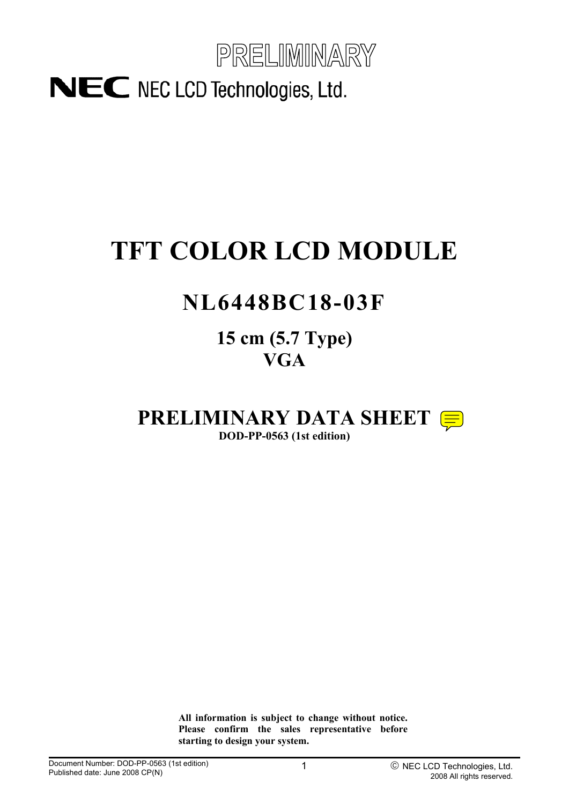

# **TFT COLOR LCD MODULE**

## **NL6448BC18-03F**

**15 cm (5.7 Type) VGA**

## **PRELIMINARY DATA SHEET**

**DOD-PP-0563 (1st edition)** 

**All information is subject to change without notice. Please confirm the sales representative before starting to design your system.**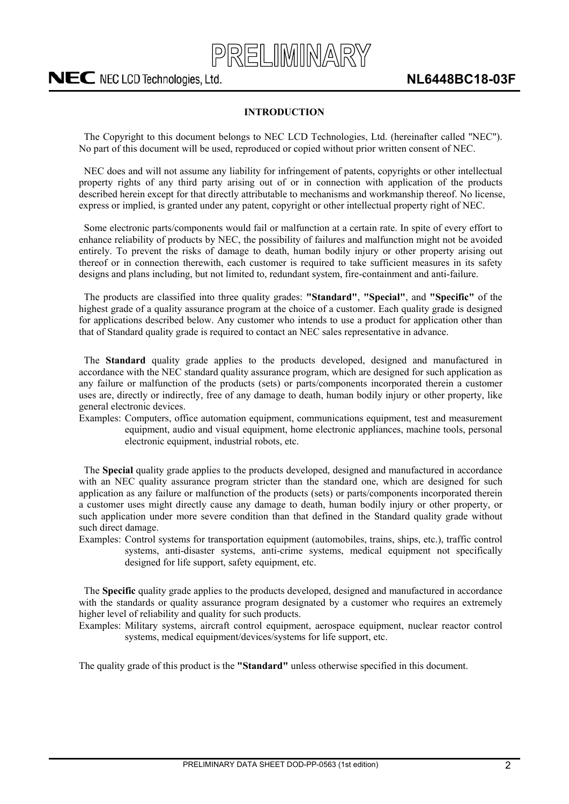

#### **INTRODUCTION**

<span id="page-1-0"></span>The Copyright to this document belongs to NEC LCD Technologies, Ltd. (hereinafter called "NEC"). No part of this document will be used, reproduced or copied without prior written consent of NEC.

NEC does and will not assume any liability for infringement of patents, copyrights or other intellectual property rights of any third party arising out of or in connection with application of the products described herein except for that directly attributable to mechanisms and workmanship thereof. No license, express or implied, is granted under any patent, copyright or other intellectual property right of NEC.

Some electronic parts/components would fail or malfunction at a certain rate. In spite of every effort to enhance reliability of products by NEC, the possibility of failures and malfunction might not be avoided entirely. To prevent the risks of damage to death, human bodily injury or other property arising out thereof or in connection therewith, each customer is required to take sufficient measures in its safety designs and plans including, but not limited to, redundant system, fire-containment and anti-failure.

The products are classified into three quality grades: **"Standard"**, **"Special"**, and **"Specific"** of the highest grade of a quality assurance program at the choice of a customer. Each quality grade is designed for applications described below. Any customer who intends to use a product for application other than that of Standard quality grade is required to contact an NEC sales representative in advance.

The **Standard** quality grade applies to the products developed, designed and manufactured in accordance with the NEC standard quality assurance program, which are designed for such application as any failure or malfunction of the products (sets) or parts/components incorporated therein a customer uses are, directly or indirectly, free of any damage to death, human bodily injury or other property, like general electronic devices.

Examples: Computers, office automation equipment, communications equipment, test and measurement equipment, audio and visual equipment, home electronic appliances, machine tools, personal electronic equipment, industrial robots, etc.

The **Special** quality grade applies to the products developed, designed and manufactured in accordance with an NEC quality assurance program stricter than the standard one, which are designed for such application as any failure or malfunction of the products (sets) or parts/components incorporated therein a customer uses might directly cause any damage to death, human bodily injury or other property, or such application under more severe condition than that defined in the Standard quality grade without such direct damage.

Examples: Control systems for transportation equipment (automobiles, trains, ships, etc.), traffic control systems, anti-disaster systems, anti-crime systems, medical equipment not specifically designed for life support, safety equipment, etc.

The **Specific** quality grade applies to the products developed, designed and manufactured in accordance with the standards or quality assurance program designated by a customer who requires an extremely higher level of reliability and quality for such products.

Examples: Military systems, aircraft control equipment, aerospace equipment, nuclear reactor control systems, medical equipment/devices/systems for life support, etc.

The quality grade of this product is the **"Standard"** unless otherwise specified in this document.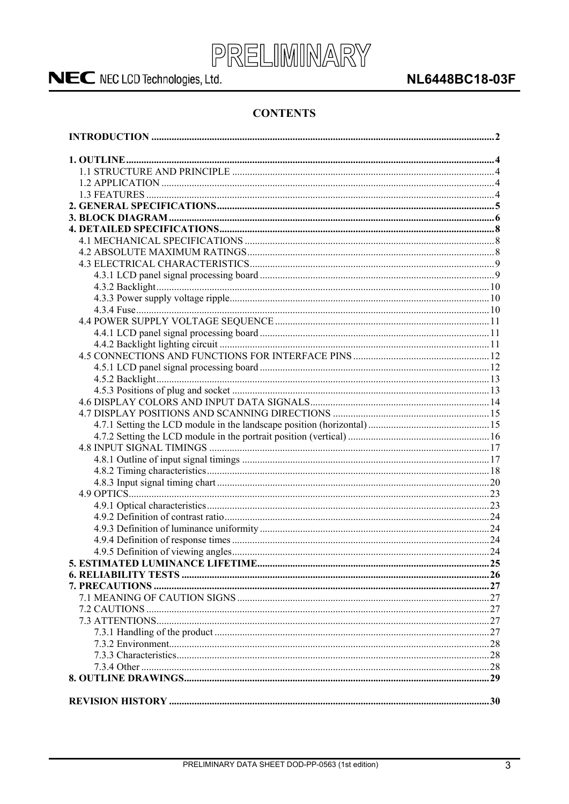

### **NL6448BC18-03F**

### **CONTENTS**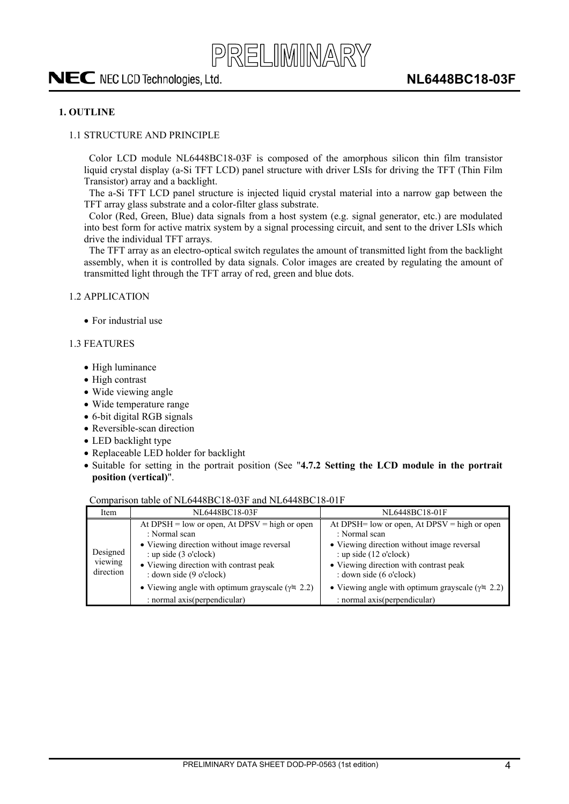#### <span id="page-3-0"></span>**1. OUTLINE**

#### 1.1 STRUCTURE AND PRINCIPLE

Color LCD module NL6448BC18-03F is composed of the amorphous silicon thin film transistor liquid crystal display (a-Si TFT LCD) panel structure with driver LSIs for driving the TFT (Thin Film Transistor) array and a backlight.

The a-Si TFT LCD panel structure is injected liquid crystal material into a narrow gap between the TFT array glass substrate and a color-filter glass substrate.

Color (Red, Green, Blue) data signals from a host system (e.g. signal generator, etc.) are modulated into best form for active matrix system by a signal processing circuit, and sent to the driver LSIs which drive the individual TFT arrays.

The TFT array as an electro-optical switch regulates the amount of transmitted light from the backlight assembly, when it is controlled by data signals. Color images are created by regulating the amount of transmitted light through the TFT array of red, green and blue dots.

#### 1.2 APPLICATION

 $\bullet$  For industrial use

#### 1.3 FEATURES

- High luminance
- High contrast
- Wide viewing angle
- $\bullet$  Wide temperature range
- $\bullet$  6-bit digital RGB signals
- $\bullet$  Reversible-scan direction
- LED backlight type
- Replaceable LED holder for backlight
- x Suitable for setting in the portrait position (See "**4.7.2 Setting the LCD module in the portrait position (vertical)**".

#### Comparison table of NL6448BC18-03F and NL6448BC18-01F

| Item                             | NL6448BC18-03F                                          | NL6448BC18-01F                                           |
|----------------------------------|---------------------------------------------------------|----------------------------------------------------------|
|                                  | At $DPSH = low$ or open, At $DPSV = high$ or open       | At DPSH= low or open, At DPSV = high or open             |
|                                  | : Normal scan                                           | : Normal scan                                            |
| Designed<br>viewing<br>direction | • Viewing direction without image reversal              | • Viewing direction without image reversal               |
|                                  | : up side $(3 \text{ o'clock})$                         | : up side $(12 \text{ o'clock})$                         |
|                                  | • Viewing direction with contrast peak                  | • Viewing direction with contrast peak                   |
|                                  | : down side $(9 \text{ o'clock})$                       | : down side (6 o'clock)                                  |
|                                  | • Viewing angle with optimum grayscale $(\gamma = 2.2)$ | • Viewing angle with optimum grayscale ( $\gamma$ = 2.2) |
|                                  | : normal axis (perpendicular)                           | : normal axis (perpendicular)                            |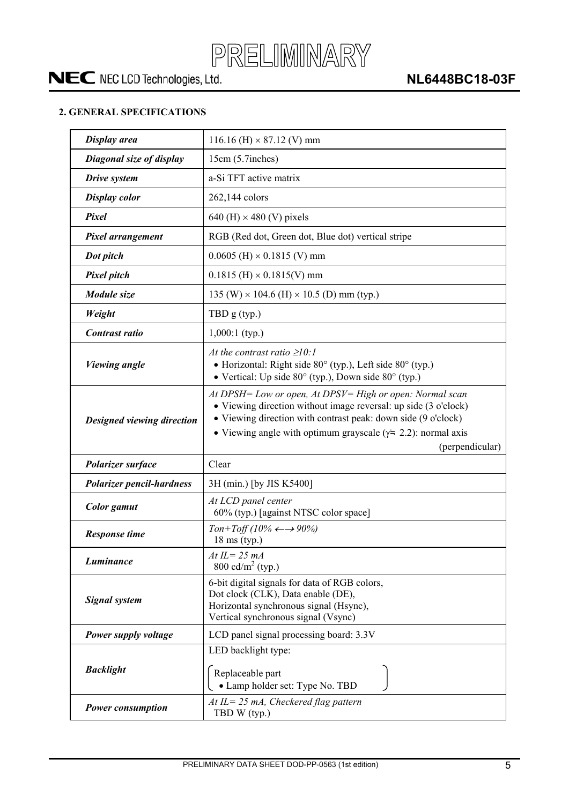

#### <span id="page-4-0"></span>**2. GENERAL SPECIFICATIONS**

| Display area                     | 116.16 (H) $\times$ 87.12 (V) mm                                                                                                                                                                                                                                                         |  |  |
|----------------------------------|------------------------------------------------------------------------------------------------------------------------------------------------------------------------------------------------------------------------------------------------------------------------------------------|--|--|
| Diagonal size of display         | 15cm (5.7inches)                                                                                                                                                                                                                                                                         |  |  |
| Drive system                     | a-Si TFT active matrix                                                                                                                                                                                                                                                                   |  |  |
| <b>Display color</b>             | 262,144 colors                                                                                                                                                                                                                                                                           |  |  |
| Pixel                            | 640 (H) $\times$ 480 (V) pixels                                                                                                                                                                                                                                                          |  |  |
| Pixel arrangement                | RGB (Red dot, Green dot, Blue dot) vertical stripe                                                                                                                                                                                                                                       |  |  |
| Dot pitch                        | $0.0605$ (H) $\times$ 0.1815 (V) mm                                                                                                                                                                                                                                                      |  |  |
| <b>Pixel pitch</b>               | $0.1815$ (H) $\times$ 0.1815(V) mm                                                                                                                                                                                                                                                       |  |  |
| Module size                      | 135 (W) $\times$ 104.6 (H) $\times$ 10.5 (D) mm (typ.)                                                                                                                                                                                                                                   |  |  |
| Weight                           | TBD $g$ (typ.)                                                                                                                                                                                                                                                                           |  |  |
| Contrast ratio                   | $1,000:1$ (typ.)                                                                                                                                                                                                                                                                         |  |  |
| <b>Viewing angle</b>             | At the contrast ratio $\geq 10$ :<br>• Horizontal: Right side $80^\circ$ (typ.), Left side $80^\circ$ (typ.)<br>• Vertical: Up side $80^{\circ}$ (typ.), Down side $80^{\circ}$ (typ.)                                                                                                   |  |  |
| Designed viewing direction       | At DPSH= Low or open, At DPSV= High or open: Normal scan<br>• Viewing direction without image reversal: up side (3 o'clock)<br>• Viewing direction with contrast peak: down side (9 o'clock)<br>• Viewing angle with optimum grayscale ( $\gamma$ = 2.2): normal axis<br>(perpendicular) |  |  |
|                                  |                                                                                                                                                                                                                                                                                          |  |  |
| Polarizer surface                | Clear                                                                                                                                                                                                                                                                                    |  |  |
| <b>Polarizer pencil-hardness</b> | 3H (min.) [by JIS K5400]                                                                                                                                                                                                                                                                 |  |  |
| <b>Color</b> gamut               | At LCD panel center<br>60% (typ.) [against NTSC color space]                                                                                                                                                                                                                             |  |  |
| <b>Response time</b>             | Ton+Toff (10% $\leftarrow \rightarrow 90\%$ )<br>$18 \text{ ms (typ.)}$                                                                                                                                                                                                                  |  |  |
| Luminance                        | At IL = $25 \text{ mA}$<br>800 cd/m <sup>2</sup> (typ.)                                                                                                                                                                                                                                  |  |  |
| <b>Signal system</b>             | 6-bit digital signals for data of RGB colors,<br>Dot clock (CLK), Data enable (DE),<br>Horizontal synchronous signal (Hsync),<br>Vertical synchronous signal (Vsync)                                                                                                                     |  |  |
| Power supply voltage             | LCD panel signal processing board: 3.3V                                                                                                                                                                                                                                                  |  |  |
| <b>Backlight</b>                 | LED backlight type:<br>Replaceable part<br>• Lamp holder set: Type No. TBD                                                                                                                                                                                                               |  |  |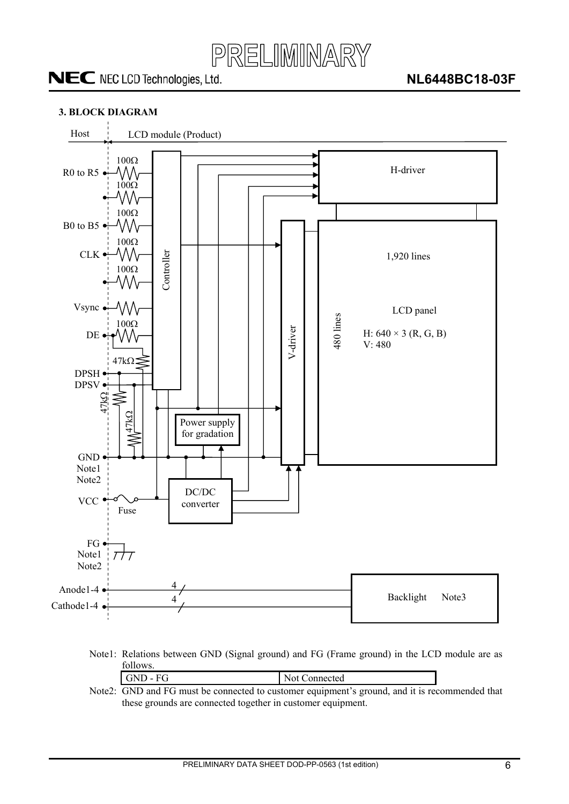

#### <span id="page-5-0"></span>**3. BLOCK DIAGRAM**



Note1: Relations between GND (Signal ground) and FG (Frame ground) in the LCD module are as follows.

| $GND - FG$                                                                        | Not Connected |
|-----------------------------------------------------------------------------------|---------------|
| $2^{\circ}$ GND and EG must be connected to customer equipment's ground and it is |               |

Note2: GND and FG must be connected to customer equipment's ground, and it is recommended that these grounds are connected together in customer equipment.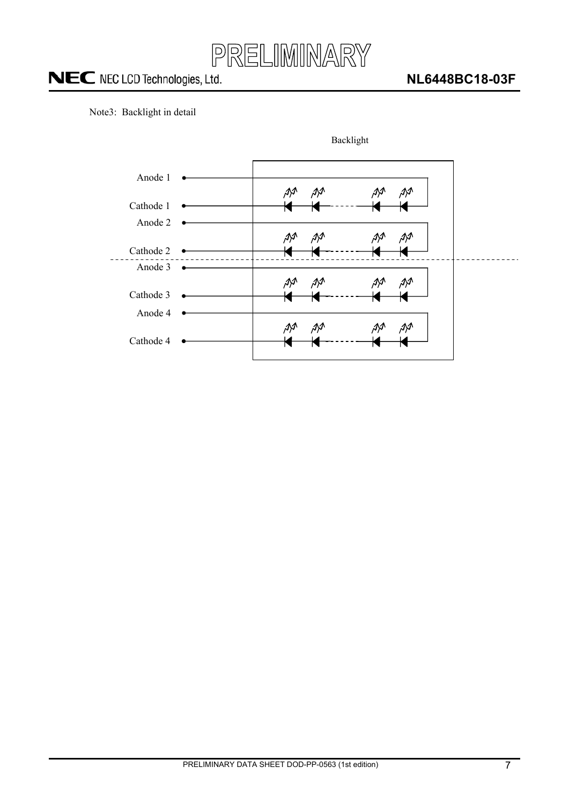

Note3: Backlight in detail

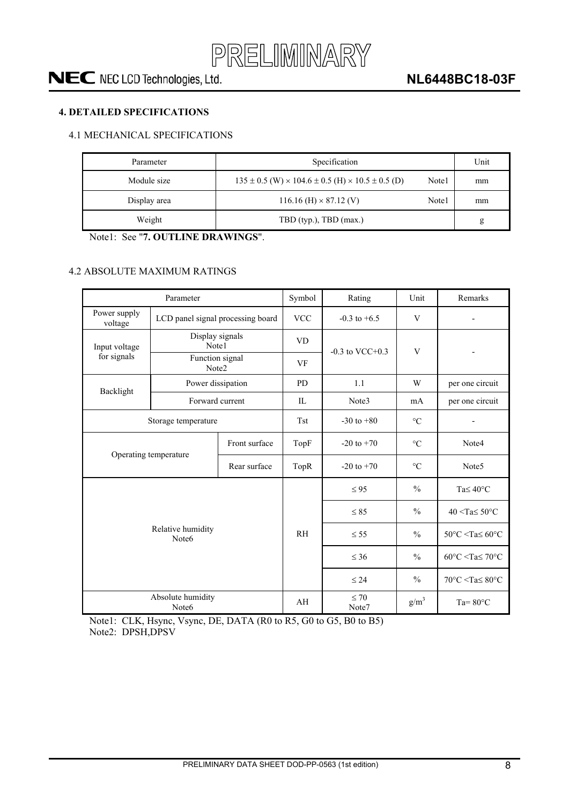

#### <span id="page-7-0"></span>**4. DETAILED SPECIFICATIONS**

#### 4.1 MECHANICAL SPECIFICATIONS

| Parameter    | Specification                                                          |       | Unit |
|--------------|------------------------------------------------------------------------|-------|------|
| Module size  | $135 \pm 0.5$ (W) $\times 104.6 \pm 0.5$ (H) $\times 10.5 \pm 0.5$ (D) | Note1 | mm   |
| Display area | $116.16$ (H) $\times$ 87.12 (V)                                        | Note1 | mm   |
| Weight       | TBD (typ.), TBD (max.)                                                 |       | g    |

Note1: See "**7. OUTLINE DRAWINGS**".

#### 4.2 ABSOLUTE MAXIMUM RATINGS

| Parameter                                              |                                        |      | Symbol         | Rating               | Unit            | Remarks                                            |
|--------------------------------------------------------|----------------------------------------|------|----------------|----------------------|-----------------|----------------------------------------------------|
| Power supply<br>voltage                                | LCD panel signal processing board      |      | <b>VCC</b>     | $-0.3$ to $+6.5$     | V               |                                                    |
| Input voltage                                          | Display signals<br>Note1               |      | <b>VD</b>      |                      | V               |                                                    |
| for signals                                            | Function signal<br>Note2               |      | VF             | $-0.3$ to VCC $+0.3$ |                 |                                                    |
| Backlight                                              | Power dissipation                      |      | <b>PD</b>      | 1.1                  | W               | per one circuit                                    |
|                                                        | Forward current                        |      | $\Pi$ .        | Note3                | mA              | per one circuit                                    |
|                                                        | Storage temperature                    |      | <b>Tst</b>     | $-30$ to $+80$       | $\rm ^{\circ}C$ |                                                    |
| Front surface<br>Operating temperature<br>Rear surface |                                        | TopF | $-20$ to $+70$ | $\rm ^{\circ}C$      | Note4           |                                                    |
|                                                        |                                        |      | TopR           | $-20$ to $+70$       | $\rm ^{\circ}C$ | Note <sub>5</sub>                                  |
|                                                        |                                        |      |                | $\leq 95$            | $\frac{0}{0}$   | Ta $\leq 40^{\circ}$ C                             |
|                                                        |                                        |      |                | $\leq 85$            | $\frac{0}{0}$   | $40 <$ Ta $\leq 50$ °C                             |
|                                                        | Relative humidity<br>Note <sub>6</sub> |      | R <sub>H</sub> | $\leq$ 55            | $\frac{0}{0}$   | $50^{\circ}$ C <ta<math>\leq 60^{\circ}C</ta<math> |
|                                                        |                                        |      |                | $\leq 36$            | $\frac{0}{0}$   | $60^{\circ}$ C <ta<math>\leq 70^{\circ}C</ta<math> |
|                                                        |                                        |      |                | $\leq 24$            | $\frac{0}{0}$   | $70^{\circ}$ C <ta<math>\leq 80^{\circ}C</ta<math> |
| Absolute humidity<br>Note6                             |                                        |      | AH             | $\leq 70$<br>Note7   | $g/m^3$         | Ta= $80^{\circ}$ C                                 |

Note1: CLK, Hsync, Vsync, DE, DATA (R0 to R5, G0 to G5, B0 to B5) Note2: DPSH,DPSV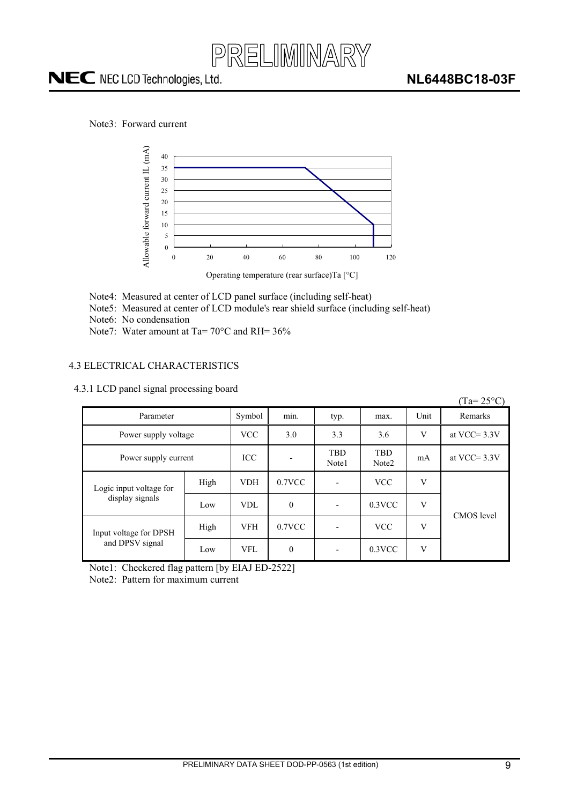

<span id="page-8-0"></span>Note3: Forward current



#### 4.3 ELECTRICAL CHARACTERISTICS

| 4.3.1 LCD panel signal processing board |  |  |  |
|-----------------------------------------|--|--|--|
|-----------------------------------------|--|--|--|

| Allowable forward current IL (mA)<br>40<br>35<br>30<br>25<br>20<br>15<br>10<br>5<br>$\theta$<br>$\boldsymbol{0}$<br>Note4: Measured at center of LCD panel surface (including self-heat)<br>Note5: Measured at center of LCD module's rear shield surface (including self-heat)<br>Note6: No condensation<br>Note7: Water amount at Ta= $70^{\circ}$ C and RH= $36\%$ | 20   | 40         | 60<br>Operating temperature (rear surface)Ta [°C] | 80<br>100                | 120                 |             |                    |
|-----------------------------------------------------------------------------------------------------------------------------------------------------------------------------------------------------------------------------------------------------------------------------------------------------------------------------------------------------------------------|------|------------|---------------------------------------------------|--------------------------|---------------------|-------------|--------------------|
| ELECTRICAL CHARACTERISTICS<br>3.1 LCD panel signal processing board                                                                                                                                                                                                                                                                                                   |      |            |                                                   |                          |                     |             | $(Ta=25^{\circ}C)$ |
| Parameter                                                                                                                                                                                                                                                                                                                                                             |      | Symbol     | min.                                              | typ.                     | max.                | Unit        | Remarks            |
| Power supply voltage                                                                                                                                                                                                                                                                                                                                                  |      | <b>VCC</b> | 3.0                                               | 3.3                      | 3.6                 | V           | at VCC= $3.3V$     |
| Power supply current                                                                                                                                                                                                                                                                                                                                                  |      | ICC        |                                                   | <b>TBD</b><br>Note1      | <b>TBD</b><br>Note2 | mA          | at VCC= $3.3V$     |
| Logic input voltage for                                                                                                                                                                                                                                                                                                                                               | High | <b>VDH</b> | 0.7VCC                                            | $\overline{\phantom{a}}$ | <b>VCC</b>          | $\mathbf V$ |                    |
| display signals                                                                                                                                                                                                                                                                                                                                                       | Low  | VDL        | $\mathbf{0}$                                      | ÷,                       | $0.3$ VCC           | V           | CMOS level         |
| Input voltage for DPSH                                                                                                                                                                                                                                                                                                                                                | High | <b>VFH</b> | $0.7$ VCC                                         | $\overline{a}$           | <b>VCC</b>          | V           |                    |
| and DPSV signal                                                                                                                                                                                                                                                                                                                                                       | Low  | <b>VFL</b> | $\mathbf{0}$                                      |                          | $0.3$ VCC           | $\mathbf V$ |                    |
| Note1: Checkered flag pattern [by EIAJ ED-2522]<br>Note2: Pattern for maximum current                                                                                                                                                                                                                                                                                 |      |            |                                                   |                          |                     |             |                    |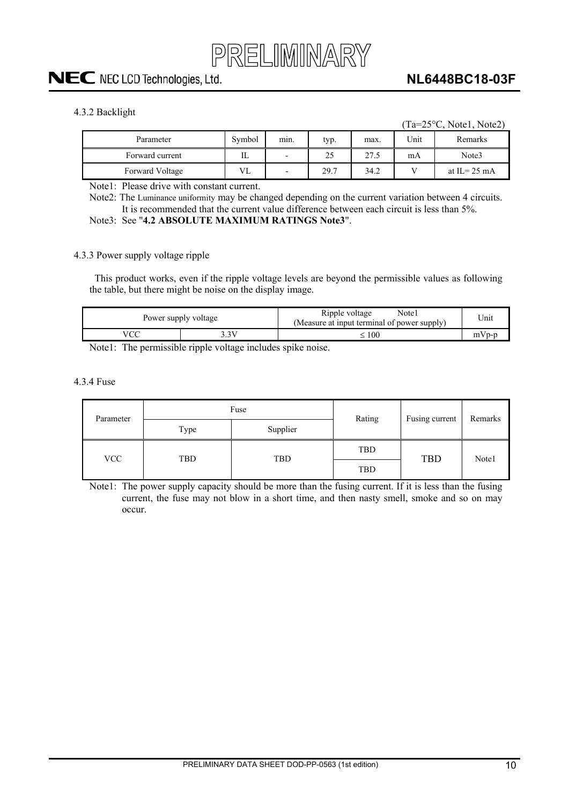

#### <span id="page-9-0"></span>4.3.2 Backlight

 $(Ta=25\degree C, Note1, Note2)$ 

| Parameter       | Symbol | mın.                     | typ. | max. | Unit | Remarks                |
|-----------------|--------|--------------------------|------|------|------|------------------------|
| Forward current | Ш      | $\,$                     | 25   | 27.5 | mA   | Note3                  |
| Forward Voltage | VL     | $\overline{\phantom{0}}$ | 29.7 | 34.2 |      | at IL= $25 \text{ mA}$ |

Note1: Please drive with constant current.

Note2: The Luminance uniformity may be changed depending on the current variation between 4 circuits. It is recommended that the current value difference between each circuit is less than 5%.

Note3: See "**4.2 ABSOLUTE MAXIMUM RATINGS Note3**".

#### 4.3.3 Power supply voltage ripple

This product works, even if the ripple voltage levels are beyond the permissible values as following the table, but there might be noise on the display image.

| Power supply voltage |    | Note1<br>Ripple voltage<br>(Measure at input terminal of power supply) | Unit |
|----------------------|----|------------------------------------------------------------------------|------|
|                      | 3V | 100                                                                    |      |

Note1: The permissible ripple voltage includes spike noise.

4.3.4 Fuse

| Parameter |      | Fuse     | Rating     | Fusing current | Remarks |
|-----------|------|----------|------------|----------------|---------|
|           | Type | Supplier |            |                |         |
| VCC       | TBD  | TBD      | TBD        | <b>TBD</b>     | Note1   |
|           |      |          | <b>TBD</b> |                |         |

Note1: The power supply capacity should be more than the fusing current. If it is less than the fusing current, the fuse may not blow in a short time, and then nasty smell, smoke and so on may occur.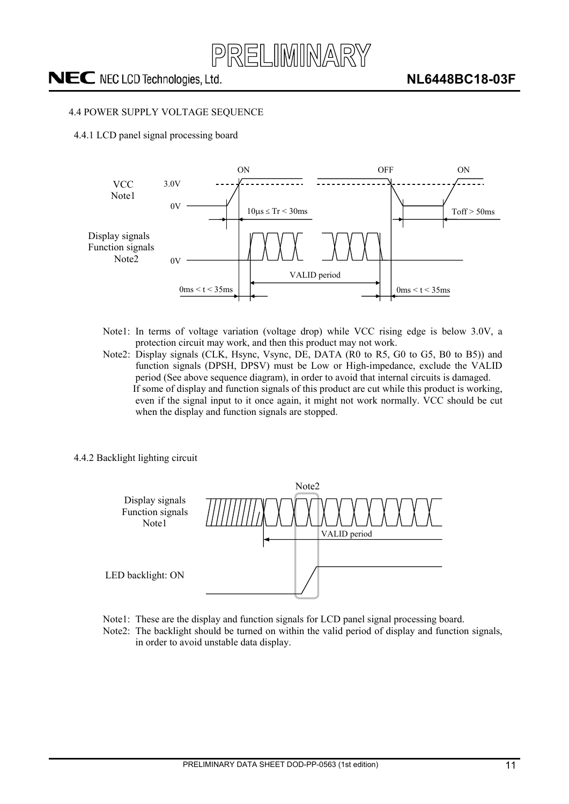

#### <span id="page-10-0"></span>4.4 POWER SUPPLY VOLTAGE SEQUENCE

4.4.1 LCD panel signal processing board



- Note1: In terms of voltage variation (voltage drop) while VCC rising edge is below 3.0V, a protection circuit may work, and then this product may not work.
- Note2: Display signals (CLK, Hsync, Vsync, DE, DATA (R0 to R5, G0 to G5, B0 to B5)) and function signals (DPSH, DPSV) must be Low or High-impedance, exclude the VALID period (See above sequence diagram), in order to avoid that internal circuits is damaged. If some of display and function signals of this product are cut while this product is working, even if the signal input to it once again, it might not work normally. VCC should be cut when the display and function signals are stopped.
- 4.4.2 Backlight lighting circuit



- Note1: These are the display and function signals for LCD panel signal processing board.
- Note2: The backlight should be turned on within the valid period of display and function signals, in order to avoid unstable data display.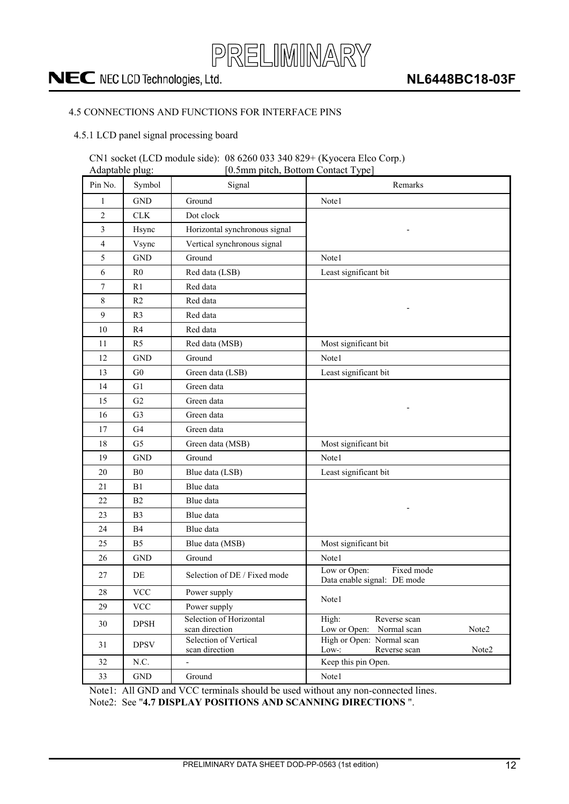

#### <span id="page-11-0"></span>4.5 CONNECTIONS AND FUNCTIONS FOR INTERFACE PINS

4.5.1 LCD panel signal processing board

### CN1 socket (LCD module side): 08 6260 033 340 829+ (Kyocera Elco Corp.)

| [0.5mm pitch, Bottom Contact Type]<br>Adaptable plug: |                           |                                           |                                                               |
|-------------------------------------------------------|---------------------------|-------------------------------------------|---------------------------------------------------------------|
| Pin No.                                               | Symbol                    | Signal                                    | Remarks                                                       |
| 1                                                     | <b>GND</b>                | Ground                                    | Note1                                                         |
| 2                                                     | CLK                       | Dot clock                                 |                                                               |
| 3                                                     | Hsync                     | Horizontal synchronous signal             |                                                               |
| 4                                                     | Vsync                     | Vertical synchronous signal               |                                                               |
| 5                                                     | <b>GND</b>                | Ground                                    | Note1                                                         |
| 6                                                     | R <sub>0</sub>            | Red data (LSB)                            | Least significant bit                                         |
| 7                                                     | R <sub>1</sub>            | Red data                                  |                                                               |
| 8                                                     | R <sub>2</sub>            | Red data                                  |                                                               |
| 9                                                     | R <sub>3</sub>            | Red data                                  |                                                               |
| 10                                                    | R4                        | Red data                                  |                                                               |
| 11                                                    | R <sub>5</sub>            | Red data (MSB)                            | Most significant bit                                          |
| 12                                                    | <b>GND</b>                | Ground                                    | Note1                                                         |
| 13                                                    | G <sub>0</sub>            | Green data (LSB)                          | Least significant bit                                         |
| 14                                                    | G1                        | Green data                                |                                                               |
| 15                                                    | G2                        | Green data                                |                                                               |
| 16                                                    | G <sub>3</sub>            | Green data                                |                                                               |
| 17                                                    | G <sub>4</sub>            | Green data                                |                                                               |
| 18                                                    | G <sub>5</sub>            | Green data (MSB)                          | Most significant bit                                          |
| 19                                                    | <b>GND</b>                | Ground                                    | Note1                                                         |
| 20                                                    | B <sub>0</sub>            | Blue data (LSB)                           | Least significant bit                                         |
| 21                                                    | B1                        | Blue data                                 |                                                               |
| 22                                                    | B2                        | Blue data                                 |                                                               |
| 23                                                    | B <sub>3</sub>            | Blue data                                 |                                                               |
| 24                                                    | <b>B4</b>                 | Blue data                                 |                                                               |
| 25                                                    | B <sub>5</sub>            | Blue data (MSB)                           | Most significant bit                                          |
| 26                                                    | <b>GND</b>                | Ground                                    | Note1                                                         |
| 27                                                    | DE                        | Selection of DE / Fixed mode              | Low or Open:<br>Fixed mode<br>Data enable signal: DE mode     |
| $28\,$                                                | $\ensuremath{\text{VCC}}$ | Power supply                              | Note1                                                         |
| 29                                                    | <b>VCC</b>                | Power supply                              |                                                               |
| 30                                                    | <b>DPSH</b>               | Selection of Horizontal<br>scan direction | High:<br>Reverse scan<br>Low or Open:<br>Note2<br>Normal scan |
| 31                                                    | <b>DPSV</b>               | Selection of Vertical<br>scan direction   | High or Open: Normal scan<br>Reverse scan<br>Low:<br>Note2    |
| 32                                                    | N.C.                      |                                           | Keep this pin Open.                                           |
| 33                                                    | $\operatorname{GND}$      | Ground                                    | Note1                                                         |

Note1: All GND and VCC terminals should be used without any non-connected lines. Note2: See "**4.7 DISPLAY POSITIONS AND SCANNING DIRECTIONS** ".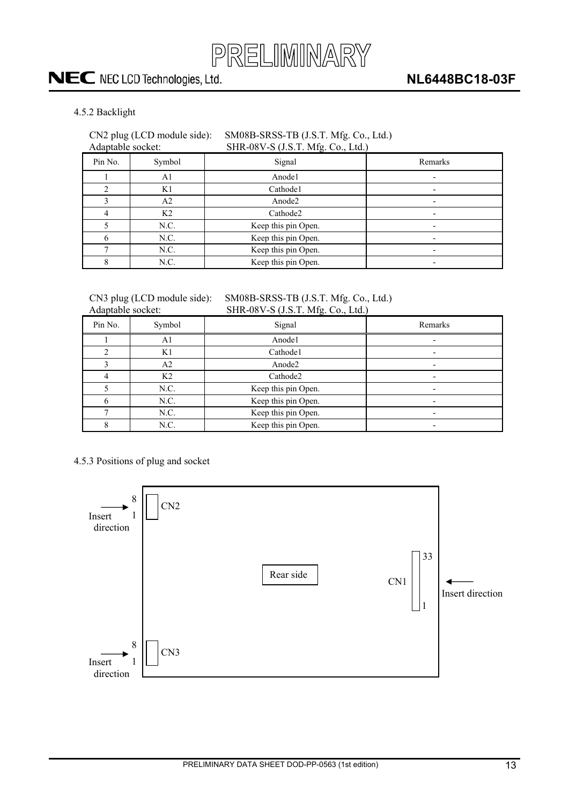

#### <span id="page-12-0"></span>4.5.2 Backlight

### CN2 plug (LCD module side): SM08B-SRSS-TB (J.S.T. Mfg. Co., Ltd.)

| . |                               |  |
|---|-------------------------------|--|
|   | Adantable socket <sup>.</sup> |  |

### Adaptable socket: SHR-08V-S (J.S.T. Mfg. Co., Ltd.)

| Pin No. | Symbol         | Signal              | Remarks                  |
|---------|----------------|---------------------|--------------------------|
|         | A1             | Anode1              |                          |
|         | K1             | Cathode1            |                          |
|         | A <sub>2</sub> | Anode2              |                          |
|         | K <sub>2</sub> | Cathode2            |                          |
|         | N.C.           | Keep this pin Open. | $\overline{\phantom{0}}$ |
|         | N.C.           | Keep this pin Open. |                          |
|         | N.C.           | Keep this pin Open. |                          |
|         | N.C.           | Keep this pin Open. |                          |

#### CN3 plug (LCD module side): SM08B-SRSS-TB (J.S.T. Mfg. Co., Ltd.)<br>Adaptable socket: SHR-08V-S (J S T Mfg. Co., Ltd.)  $SHR-08V-S (JST) Mfg (CoLtd)$

| Trauplaote boeker. |                |                     |         |
|--------------------|----------------|---------------------|---------|
| Pin No.            | Symbol         | Signal              | Remarks |
|                    | Αl             | Anode1              |         |
|                    | K1             | Cathode1            |         |
|                    | A2             | Anode2              |         |
| 4                  | K <sub>2</sub> | Cathode2            |         |
|                    | N.C.           | Keep this pin Open. |         |
| h                  | N.C.           | Keep this pin Open. |         |
|                    | N.C.           | Keep this pin Open. |         |
|                    | N.C.           | Keep this pin Open. |         |

#### 4.5.3 Positions of plug and socket

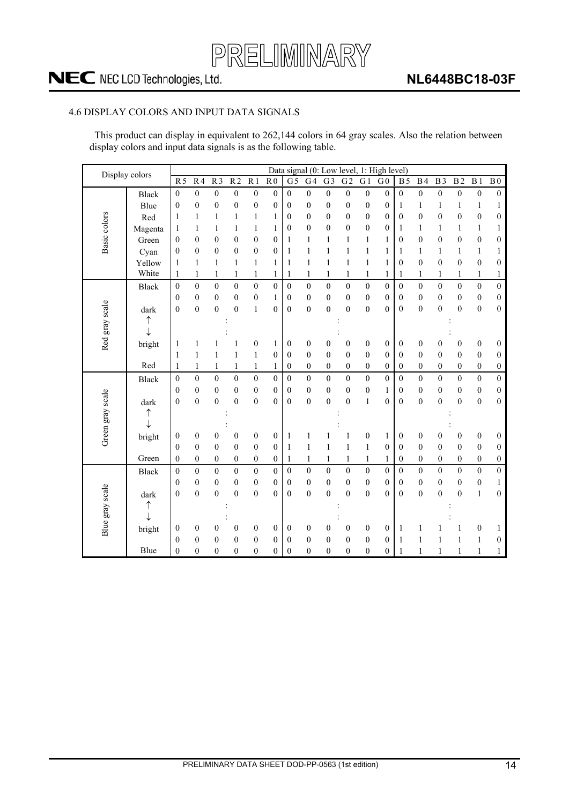

#### <span id="page-13-0"></span>4.6 DISPLAY COLORS AND INPUT DATA SIGNALS

This product can display in equivalent to 262,144 colors in 64 gray scales. Also the relation between display colors and input data signals is as the following table.

| Display colors   |              |                  |                  |                  |                  |                  |                  |                  |                  |                  |                  |                  | Data signal (0: Low level, 1: High level) |                  |                  |                  |                  |                  |                  |
|------------------|--------------|------------------|------------------|------------------|------------------|------------------|------------------|------------------|------------------|------------------|------------------|------------------|-------------------------------------------|------------------|------------------|------------------|------------------|------------------|------------------|
|                  |              | $\overline{R5}$  | $\overline{R4}$  | $\overline{R}$   | R <sub>2</sub>   | $\overline{R1}$  | $\overline{R}0$  | $\overline{G5}$  | G4               | $\overline{G3}$  | G <sub>2</sub>   | G <sub>1</sub>   | G <sub>0</sub>                            | <b>B5</b>        | B <sub>4</sub>   | B <sub>3</sub>   | B <sub>2</sub>   | $\overline{B1}$  | $\overline{B}0$  |
|                  | <b>Black</b> | $\boldsymbol{0}$ | $\boldsymbol{0}$ | $\boldsymbol{0}$ | $\boldsymbol{0}$ | $\boldsymbol{0}$ | $\boldsymbol{0}$ | $\boldsymbol{0}$ | $\boldsymbol{0}$ | $\boldsymbol{0}$ | $\boldsymbol{0}$ | $\boldsymbol{0}$ | $\boldsymbol{0}$                          | $\boldsymbol{0}$ | $\boldsymbol{0}$ | $\boldsymbol{0}$ | $\boldsymbol{0}$ | $\boldsymbol{0}$ | $\boldsymbol{0}$ |
|                  | Blue         | $\boldsymbol{0}$ | $\boldsymbol{0}$ | $\mathbf{0}$     | $\boldsymbol{0}$ | $\boldsymbol{0}$ | $\boldsymbol{0}$ | $\boldsymbol{0}$ | $\boldsymbol{0}$ | $\boldsymbol{0}$ | $\mathbf{0}$     | $\boldsymbol{0}$ | $\mathbf{0}$                              | 1                | $\mathbf{1}$     | 1                | $\mathbf{1}$     | $\mathbf{1}$     | 1                |
| Basic colors     | Red          | 1                | 1                | 1                | 1                | 1                | 1                | $\boldsymbol{0}$ | $\boldsymbol{0}$ | $\boldsymbol{0}$ | 0                | $\boldsymbol{0}$ | $\boldsymbol{0}$                          | $\boldsymbol{0}$ | $\boldsymbol{0}$ | $\mathbf{0}$     | $\boldsymbol{0}$ | $\boldsymbol{0}$ | $\boldsymbol{0}$ |
|                  | Magenta      | 1                | 1                | 1                | 1                | $\mathbf{1}$     | 1                | $\overline{0}$   | $\mathbf{0}$     | $\mathbf{0}$     | $\overline{0}$   | $\boldsymbol{0}$ | $\mathbf{0}$                              | 1                | 1                | 1                | 1                | $\mathbf{1}$     | $\mathbf{1}$     |
|                  | Green        | $\theta$         | $\boldsymbol{0}$ | $\boldsymbol{0}$ | $\mathbf{0}$     | $\boldsymbol{0}$ | $\boldsymbol{0}$ | 1                | $\mathbf{1}$     | 1                | 1                | $\mathbf{1}$     | 1                                         | 0                | $\boldsymbol{0}$ | $\mathbf{0}$     | $\mathbf{0}$     | $\boldsymbol{0}$ | $\boldsymbol{0}$ |
|                  | Cyan         | $\mathbf{0}$     | $\boldsymbol{0}$ | $\boldsymbol{0}$ | 0                | $\boldsymbol{0}$ | $\boldsymbol{0}$ | 1                | 1                | 1                | 1                | 1                | 1                                         | 1                | 1                | 1                | 1                | $\mathbf{1}$     | 1                |
|                  | Yellow       | 1                | 1                | $\mathbf{1}$     | $\mathbf{1}$     | $\mathbf{1}$     | 1                | 1                | $\mathbf{1}$     | 1                | 1                | $\mathbf{1}$     | 1                                         | $\mathbf{0}$     | $\boldsymbol{0}$ | $\theta$         | $\overline{0}$   | $\boldsymbol{0}$ | $\boldsymbol{0}$ |
|                  | White        | 1                | $\mathbf{1}$     | $\mathbf{1}$     | $\mathbf{1}$     | $\mathbf{1}$     | $\mathbf{1}$     | 1                | $\mathbf{1}$     | 1                | 1                | $\,1$            | 1                                         | 1                | $\mathbf{1}$     | 1                | $\mathbf{1}$     | $\mathbf{1}$     | $\mathbf{1}$     |
|                  | <b>Black</b> | $\boldsymbol{0}$ | $\boldsymbol{0}$ | $\boldsymbol{0}$ | $\boldsymbol{0}$ | $\boldsymbol{0}$ | $\boldsymbol{0}$ | $\overline{0}$   | $\boldsymbol{0}$ | $\mathbf{0}$     | $\boldsymbol{0}$ | $\boldsymbol{0}$ | $\boldsymbol{0}$                          | $\boldsymbol{0}$ | $\boldsymbol{0}$ | $\mathbf{0}$     | $\boldsymbol{0}$ | $\boldsymbol{0}$ | $\boldsymbol{0}$ |
|                  |              | $\theta$         | $\boldsymbol{0}$ | $\boldsymbol{0}$ | $\boldsymbol{0}$ | $\boldsymbol{0}$ | 1                | $\mathbf{0}$     | $\boldsymbol{0}$ | $\boldsymbol{0}$ | 0                | $\boldsymbol{0}$ | $\boldsymbol{0}$                          | $\boldsymbol{0}$ | $\boldsymbol{0}$ | $\boldsymbol{0}$ | $\mathbf{0}$     | $\boldsymbol{0}$ | $\boldsymbol{0}$ |
|                  | dark         | $\mathbf{0}$     | $\boldsymbol{0}$ | $\mathbf{0}$     | $\overline{0}$   | $\mathbf{1}$     | $\overline{0}$   | $\mathbf{0}$     | $\boldsymbol{0}$ | $\mathbf{0}$     | $\overline{0}$   | $\boldsymbol{0}$ | $\mathbf{0}$                              | $\mathbf{0}$     | $\boldsymbol{0}$ | $\mathbf{0}$     | $\overline{0}$   | $\boldsymbol{0}$ | $\boldsymbol{0}$ |
|                  | ↑            |                  |                  |                  |                  |                  |                  |                  |                  |                  |                  |                  |                                           |                  |                  |                  |                  |                  |                  |
|                  | $\downarrow$ |                  |                  |                  |                  |                  |                  |                  |                  |                  |                  |                  |                                           |                  |                  |                  |                  |                  |                  |
| Red gray scale   | bright       | 1                | 1                |                  | 1                | $\boldsymbol{0}$ | 1                | $\boldsymbol{0}$ | $\boldsymbol{0}$ | 0                | 0                | $\boldsymbol{0}$ | $\boldsymbol{0}$                          | $\boldsymbol{0}$ | $\boldsymbol{0}$ | 0                | $\boldsymbol{0}$ | $\boldsymbol{0}$ | $\boldsymbol{0}$ |
|                  |              | 1                | 1                | 1                | $\mathbf{1}$     | $\mathbf{1}$     | $\boldsymbol{0}$ | $\theta$         | $\boldsymbol{0}$ | $\boldsymbol{0}$ | $\boldsymbol{0}$ | $\boldsymbol{0}$ | $\overline{0}$                            | $\boldsymbol{0}$ | $\boldsymbol{0}$ | $\mathbf{0}$     | $\boldsymbol{0}$ | $\boldsymbol{0}$ | $\boldsymbol{0}$ |
|                  | Red          | 1                | $\mathbf{1}$     | $\mathbf{1}$     | $\mathbf{1}$     | $\mathbf{1}$     | $\mathbf{1}$     | $\boldsymbol{0}$ | $\boldsymbol{0}$ | $\boldsymbol{0}$ | 0                | $\boldsymbol{0}$ | $\boldsymbol{0}$                          | $\boldsymbol{0}$ | $\boldsymbol{0}$ | $\boldsymbol{0}$ | $\boldsymbol{0}$ | $\boldsymbol{0}$ | $\boldsymbol{0}$ |
|                  | <b>Black</b> | $\mathbf{0}$     | $\boldsymbol{0}$ | $\boldsymbol{0}$ | $\theta$         | $\mathbf{0}$     | $\mathbf{0}$     | $\overline{0}$   | $\boldsymbol{0}$ | $\theta$         | $\boldsymbol{0}$ | $\mathbf{0}$     | $\boldsymbol{0}$                          | $\boldsymbol{0}$ | $\boldsymbol{0}$ | $\theta$         | $\overline{0}$   | $\boldsymbol{0}$ | $\boldsymbol{0}$ |
|                  |              | $\mathbf{0}$     | $\boldsymbol{0}$ | $\boldsymbol{0}$ | $\mathbf{0}$     | $\boldsymbol{0}$ | $\mathbf{0}$     | $\mathbf{0}$     | $\boldsymbol{0}$ | $\mathbf{0}$     | $\mathbf{0}$     | $\boldsymbol{0}$ | 1                                         | $\boldsymbol{0}$ | $\boldsymbol{0}$ | $\mathbf{0}$     | $\mathbf{0}$     | $\boldsymbol{0}$ | $\boldsymbol{0}$ |
|                  | dark         | $\mathbf{0}$     | $\overline{0}$   | $\boldsymbol{0}$ | $\overline{0}$   | $\boldsymbol{0}$ | $\overline{0}$   | $\overline{0}$   | $\boldsymbol{0}$ | $\boldsymbol{0}$ | $\overline{0}$   | $\,1$            | $\mathbf{0}$                              | $\boldsymbol{0}$ | $\boldsymbol{0}$ | $\mathbf{0}$     | $\overline{0}$   | $\boldsymbol{0}$ | $\boldsymbol{0}$ |
|                  | ↑            |                  |                  |                  |                  |                  |                  |                  |                  |                  |                  |                  |                                           |                  |                  |                  |                  |                  |                  |
| Green gray scale | ↓            |                  |                  |                  |                  |                  |                  |                  |                  |                  |                  |                  |                                           |                  |                  |                  |                  |                  |                  |
|                  | bright       | $\boldsymbol{0}$ | $\boldsymbol{0}$ | $\boldsymbol{0}$ | 0                | $\boldsymbol{0}$ | $\boldsymbol{0}$ | 1                | 1                |                  |                  | $\boldsymbol{0}$ | $\mathbf{1}$                              | $\boldsymbol{0}$ | $\boldsymbol{0}$ | 0                | $\boldsymbol{0}$ | $\boldsymbol{0}$ | 0                |
|                  |              | $\mathbf{0}$     | $\boldsymbol{0}$ | $\boldsymbol{0}$ | $\mathbf{0}$     | $\boldsymbol{0}$ | $\mathbf{0}$     | 1                | 1                | $\mathbf{1}$     | 1                | $\,1$            | $\mathbf{0}$                              | $\boldsymbol{0}$ | $\boldsymbol{0}$ | $\mathbf{0}$     | $\overline{0}$   | $\boldsymbol{0}$ | $\boldsymbol{0}$ |
|                  | Green        | $\mathbf{0}$     | $\boldsymbol{0}$ | $\boldsymbol{0}$ | $\boldsymbol{0}$ | $\boldsymbol{0}$ | $\boldsymbol{0}$ | 1                | 1                | 1                | 1                | $\mathbf{1}$     | 1                                         | $\boldsymbol{0}$ | $\boldsymbol{0}$ | 0                | $\mathbf{0}$     | $\boldsymbol{0}$ | $\boldsymbol{0}$ |
|                  | <b>Black</b> | $\mathbf{0}$     | $\boldsymbol{0}$ | $\mathbf{0}$     | $\boldsymbol{0}$ | $\mathbf{0}$     | $\mathbf{0}$     | $\theta$         | $\boldsymbol{0}$ | $\boldsymbol{0}$ | $\boldsymbol{0}$ | $\mathbf{0}$     | $\boldsymbol{0}$                          | $\boldsymbol{0}$ | $\boldsymbol{0}$ | $\theta$         | $\mathbf{0}$     | $\boldsymbol{0}$ | $\boldsymbol{0}$ |
|                  |              | $\mathbf{0}$     | $\boldsymbol{0}$ | $\boldsymbol{0}$ | $\boldsymbol{0}$ | $\boldsymbol{0}$ | $\boldsymbol{0}$ | $\boldsymbol{0}$ | $\boldsymbol{0}$ | $\boldsymbol{0}$ | $\boldsymbol{0}$ | $\boldsymbol{0}$ | $\mathbf{0}$                              | $\boldsymbol{0}$ | $\boldsymbol{0}$ | $\boldsymbol{0}$ | $\boldsymbol{0}$ | $\boldsymbol{0}$ | 1                |
|                  | dark         | $\overline{0}$   | $\boldsymbol{0}$ | $\mathbf{0}$     | $\mathbf{0}$     | $\boldsymbol{0}$ | $\mathbf{0}$     | $\mathbf{0}$     | $\boldsymbol{0}$ | $\mathbf{0}$     | $\overline{0}$   | $\boldsymbol{0}$ | $\mathbf{0}$                              | $\mathbf{0}$     | $\boldsymbol{0}$ | $\theta$         | $\boldsymbol{0}$ | $\mathbf{1}$     | $\boldsymbol{0}$ |
|                  | ↑            |                  |                  |                  |                  |                  |                  |                  |                  |                  |                  |                  |                                           |                  |                  |                  |                  |                  |                  |
|                  | $\downarrow$ |                  |                  |                  |                  |                  |                  |                  |                  |                  |                  |                  |                                           |                  |                  |                  |                  |                  |                  |
| Blue gray scale  | bright       | $\boldsymbol{0}$ | $\boldsymbol{0}$ | $\boldsymbol{0}$ | 0                | $\boldsymbol{0}$ | $\boldsymbol{0}$ | $\boldsymbol{0}$ | $\boldsymbol{0}$ | 0                | 0                | $\boldsymbol{0}$ | $\boldsymbol{0}$                          | 1                | 1                |                  | 1                | $\boldsymbol{0}$ | 1                |
|                  |              | $\theta$         | $\boldsymbol{0}$ | $\theta$         | $\overline{0}$   | $\mathbf{0}$     | $\mathbf{0}$     | $\overline{0}$   | $\boldsymbol{0}$ | $\boldsymbol{0}$ | $\boldsymbol{0}$ | $\mathbf{0}$     | $\mathbf{0}$                              | 1                | 1                | 1                | 1                | $\mathbf{1}$     | 0                |
|                  | Blue         | $\overline{0}$   | $\boldsymbol{0}$ | $\boldsymbol{0}$ | $\boldsymbol{0}$ | $\boldsymbol{0}$ | $\boldsymbol{0}$ | $\boldsymbol{0}$ | $\boldsymbol{0}$ | $\overline{0}$   | 0                | $\boldsymbol{0}$ | $\boldsymbol{0}$                          | 1                | $\mathbf{1}$     | 1                | $\mathbf{1}$     | $\mathbf{1}$     | $\mathbf{1}$     |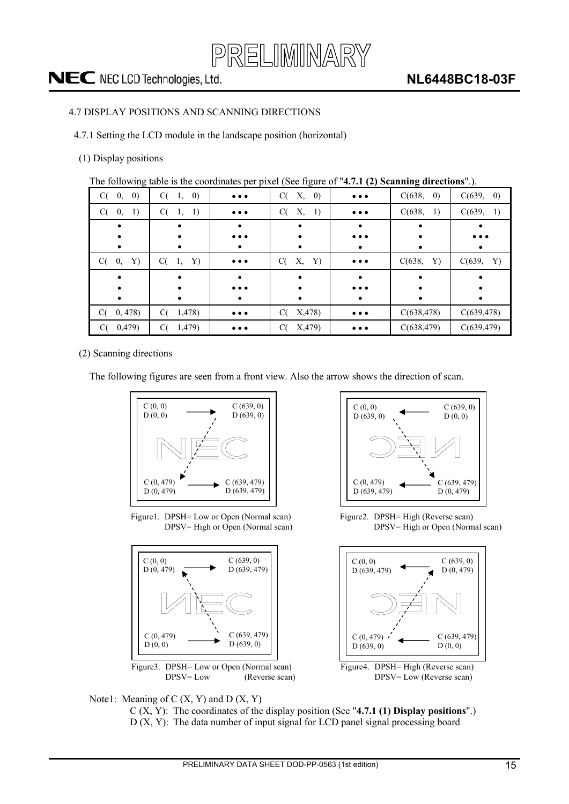

#### <span id="page-14-0"></span>4.7 DISPLAY POSITIONS AND SCANNING DIRECTIONS

4.7.1 Setting the LCD module in the landscape position (horizontal)

#### (1) Display positions

The following table is the coordinates per pixel (See figure of "**4.7.1 (2) Scanning directions**".).

| C(0, 0)       | C(1, 0)      | $\bullet\bullet\bullet$ | C(<br>X, 0) | $\bullet\bullet\bullet$ | C(638,<br>$\left( 0\right)$ | C(639, 0)   |
|---------------|--------------|-------------------------|-------------|-------------------------|-----------------------------|-------------|
| 1)<br>$C(-0,$ | $C(-1, 1)$   | $\bullet\bullet\bullet$ | X, 1)<br>C( | $\bullet\bullet\bullet$ | C(638,<br><sup>1</sup>      | C(639, 1)   |
|               |              |                         |             |                         |                             |             |
|               |              | $\bullet\bullet\bullet$ |             | $\bullet\bullet\bullet$ |                             | $\cdots$    |
|               |              |                         |             |                         |                             | ٠           |
| 0, Y<br>C(    | C(1, Y)      | $\bullet\bullet\bullet$ | X, Y)<br>C( | $\bullet\bullet\bullet$ | C(638,<br>Y)                | C(639, Y)   |
|               |              |                         |             |                         |                             |             |
|               |              | $\bullet\bullet\bullet$ |             | $\bullet\bullet\bullet$ |                             |             |
| $\bullet$     |              | $\bullet$               | $\bullet$   | ٠                       |                             |             |
| C(0, 478)     | C(1, 478)    | $\bullet\bullet\bullet$ | X,478<br>C( | $\bullet\bullet\bullet$ | C(638, 478)                 | C(639, 478) |
| 0,479)<br>C(  | 1,479)<br>C( | $\bullet\bullet\bullet$ | X,479<br>C( | $\bullet\bullet\bullet$ | C(638, 479)                 | C(639, 479) |

(2) Scanning directions

The following figures are seen from a front view. Also the arrow shows the direction of scan.



Figure1. DPSH= Low or Open (Normal scan) DPSV= High or Open (Normal scan)





Figure2. DPSH= High (Reverse scan) DPSV= High or Open (Normal scan)





C (X, Y): The coordinates of the display position (See "**4.7.1 (1) Display positions**".) D (X, Y): The data number of input signal for LCD panel signal processing board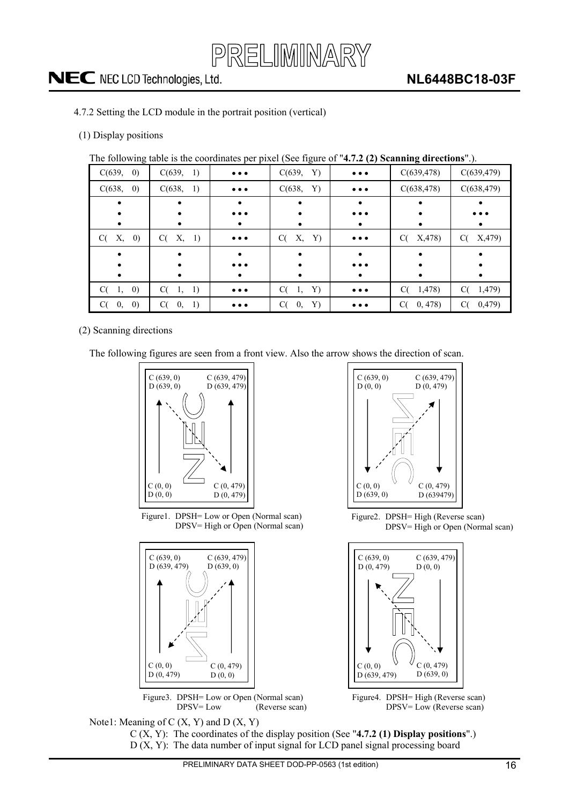

- <span id="page-15-0"></span>4.7.2 Setting the LCD module in the portrait position (vertical)
- (1) Display positions

The following table is the coordinates per pixel (See figure of "**4.7.2 (2) Scanning directions**".).

| C(639, 0)                     | C(639, 1)      | $\bullet\bullet\bullet$ | C(639, Y)      | $\bullet\bullet\bullet$ | C(639, 478)   | C(639, 479)             |
|-------------------------------|----------------|-------------------------|----------------|-------------------------|---------------|-------------------------|
| C(638, 0)                     | C(638, 1)      | $\bullet\bullet\bullet$ | C(638, Y)      | $\bullet\bullet\bullet$ | C(638, 478)   | C(638, 479)             |
|                               |                |                         |                |                         |               |                         |
|                               |                | $\bullet\bullet\bullet$ |                | $\bullet\bullet\bullet$ |               | $\bullet\bullet\bullet$ |
|                               |                | $\bullet$               |                | ٠                       |               | $\bullet$               |
| Х,<br>$\left( 0\right)$<br>C( | C(X, 1)        | $\bullet\bullet\bullet$ | X, Y)<br>C(    | $\bullet\bullet\bullet$ | X, 478)<br>C( | X,479<br>C(             |
|                               |                |                         |                |                         |               |                         |
|                               |                | $\bullet\bullet\bullet$ |                | $\bullet\bullet\bullet$ |               |                         |
|                               |                | $\bullet$               |                | ٠                       |               | ٠                       |
| C(1, 0)                       | C(1, 1)        | $\bullet\bullet\bullet$ | C(1, Y)        | $\bullet\bullet\bullet$ | 1,478)<br>C(  | C(1, 479)               |
| $\left( 0\right)$<br>C(<br>0, | $C(-0,$<br>-1) | $\bullet\bullet\bullet$ | 0,<br>Y)<br>C( | $\bullet\bullet\bullet$ | 0,478<br>C(   | 0,479)<br>C(            |

(2) Scanning directions

The following figures are seen from a front view. Also the arrow shows the direction of scan.









Figure2. DPSH= High (Reverse scan) DPSV= High or Open (Normal scan)



Figure4. DPSH= High (Reverse scan) DPSV= Low (Reverse scan) DPSV= Low (Reverse scan)

Note1: Meaning of  $C(X, Y)$  and  $D(X, Y)$ C (X, Y): The coordinates of the display position (See "**4.7.2 (1) Display positions**".)

D (X, Y): The data number of input signal for LCD panel signal processing board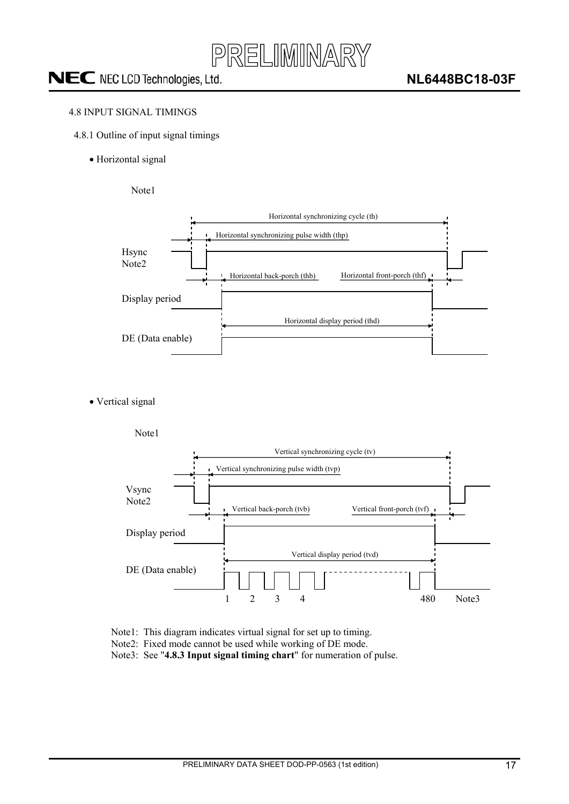

#### <span id="page-16-0"></span>4.8 INPUT SIGNAL TIMINGS

- 4.8.1 Outline of input signal timings
	- Horizontal signal

Note1



• Vertical signal



- Note1: This diagram indicates virtual signal for set up to timing.
- Note2: Fixed mode cannot be used while working of DE mode.
- Note3: See "**4.8.3 Input signal timing chart**" for numeration of pulse.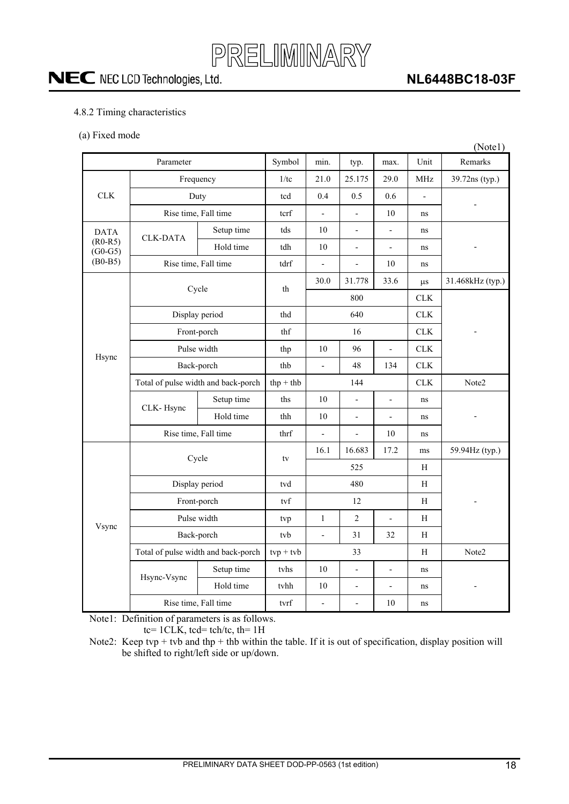

### **NL6448BC18-03F**

#### <span id="page-17-0"></span>4.8.2 Timing characteristics

(a) Fixed mode

|                        |                                     |                                     |                                   |                          |                          |                          |                | (Note1)          |  |
|------------------------|-------------------------------------|-------------------------------------|-----------------------------------|--------------------------|--------------------------|--------------------------|----------------|------------------|--|
|                        | Parameter                           |                                     | Symbol                            | min.                     | typ.                     | max.                     | Unit           | Remarks          |  |
|                        | Frequency                           | 1/tc                                | 21.0                              | 25.175                   | 29.0                     | <b>MHz</b>               | 39.72ns (typ.) |                  |  |
| CLK                    | Duty                                |                                     | tcd                               | 0.4                      | 0.5                      | 0.6                      | $\frac{1}{2}$  |                  |  |
|                        | Rise time, Fall time                | tcrf                                | $\overline{a}$                    |                          | 10                       | ns                       |                |                  |  |
| <b>DATA</b>            | <b>CLK-DATA</b>                     | Setup time                          | $\ensuremath{\operatorname{tds}}$ | 10                       |                          |                          | $\rm ns$       |                  |  |
| $(R0-R5)$<br>$(G0-G5)$ |                                     | Hold time                           | tdh                               | $10\,$                   | $\overline{\phantom{a}}$ | $\overline{a}$           | ns             |                  |  |
| $(B0-B5)$              | Rise time, Fall time                |                                     | tdrf                              | $\overline{a}$           | $\overline{a}$           | 10                       | ns             |                  |  |
|                        |                                     |                                     | th                                | 30.0                     | 31.778                   | 33.6                     | $\mu s$        | 31.468kHz (typ.) |  |
| Hsync                  | Cycle                               |                                     |                                   |                          | 800                      |                          | <b>CLK</b>     |                  |  |
|                        | Display period                      |                                     | thd                               |                          | 640                      |                          | ${\rm CLK}$    |                  |  |
|                        | Front-porch                         | thf                                 | 16                                |                          |                          | <b>CLK</b>               |                |                  |  |
|                        | Pulse width                         |                                     | thp                               | 10                       | 96                       | $\overline{a}$           | CLK            |                  |  |
|                        | Back-porch                          |                                     | thb                               | $\overline{\phantom{a}}$ | 48                       | 134                      | CLK            |                  |  |
|                        | Total of pulse width and back-porch | $thp + thb$                         |                                   | 144                      |                          | <b>CLK</b>               | Note2          |                  |  |
|                        | CLK-Hsync                           | Setup time                          | ths                               | 10                       |                          | $\overline{a}$           | ns             |                  |  |
|                        |                                     | Hold time                           | thh                               | 10                       | $\overline{\phantom{a}}$ | $\frac{1}{2}$            | ns             |                  |  |
|                        | Rise time, Fall time                | thrf                                | $\frac{1}{2}$                     | $\overline{a}$           | 10                       | ns                       |                |                  |  |
|                        | Cycle                               |                                     | tv                                | 16.1<br>16.683<br>17.2   |                          |                          | ms             | 59.94Hz (typ.)   |  |
|                        |                                     |                                     |                                   |                          | 525                      |                          | H              |                  |  |
|                        | Display period                      |                                     | tvd                               |                          | 480                      |                          | H              |                  |  |
|                        | Front-porch                         |                                     | tvf                               |                          | 12                       |                          | H              |                  |  |
| Vsync                  | Pulse width                         |                                     | tvp                               | $\mathbf{1}$             | $\sqrt{2}$               |                          | $\, {\rm H}$   |                  |  |
|                        | Back-porch                          |                                     | tvb                               | $\frac{1}{2}$            | 31                       | 32                       | $\mathbf H$    |                  |  |
|                        |                                     | Total of pulse width and back-porch | $typ + tvb$                       |                          | 33                       |                          | H              | Note2            |  |
|                        | Hsync-Vsync                         | Setup time                          | tyhs                              | 10                       | $\overline{\phantom{a}}$ | $\overline{a}$           | ns             |                  |  |
|                        |                                     | Hold time                           | tvhh                              | 10                       | $\overline{\phantom{a}}$ | $\overline{\phantom{0}}$ | ns             |                  |  |
|                        | Rise time, Fall time                |                                     | $\mbox{tvrf}$                     | $\overline{a}$           | $\overline{a}$           | $10\,$                   | ns             |                  |  |

Note1: Definition of parameters is as follows.

tc= 1CLK, tcd= tch/tc, th= 1H

Note2: Keep tvp + tvb and thp + thb within the table. If it is out of specification, display position will be shifted to right/left side or up/down.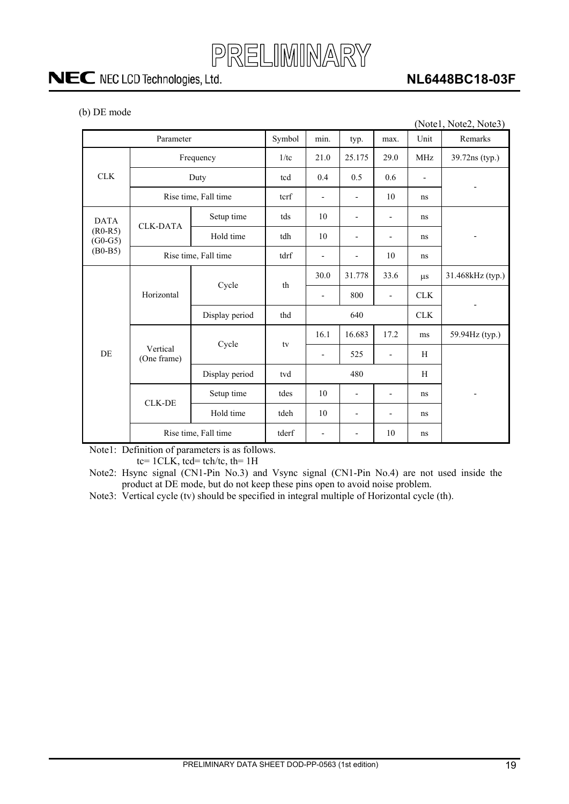

### **NL6448BC18-03F**

| (b) DE mode |
|-------------|
|-------------|

|                                     |                         |                      |                          |                          |                          |                          |                | (Note1, Note2, Note3)    |
|-------------------------------------|-------------------------|----------------------|--------------------------|--------------------------|--------------------------|--------------------------|----------------|--------------------------|
|                                     | Parameter               |                      | Symbol                   | min.                     | typ.                     | max.                     | Unit           | Remarks                  |
|                                     | Frequency               | 1/tc                 | 21.0                     | 25.175                   | 29.0                     | <b>MHz</b>               | 39.72ns (typ.) |                          |
| <b>CLK</b>                          | Duty                    | tcd                  | 0.4                      | 0.5                      | 0.6                      | $\overline{a}$           |                |                          |
|                                     |                         | Rise time, Fall time | terf                     | $\overline{\phantom{a}}$ | $\overline{\phantom{a}}$ | 10                       | ns             |                          |
| <b>DATA</b>                         | <b>CLK-DATA</b>         | Setup time           | tds                      | 10                       |                          | $\overline{\phantom{m}}$ | ns             |                          |
| $(R0-R5)$<br>$(G0-G5)$<br>$(B0-B5)$ |                         | Hold time            | tdh                      | 10                       |                          |                          | ns             | $\overline{\phantom{a}}$ |
|                                     | Rise time, Fall time    | tdrf                 | $\overline{\phantom{a}}$ |                          | 10                       | ns                       |                |                          |
|                                     |                         | Cycle                | th                       | 30.0                     | 31.778                   | 33.6                     | $\mu s$        | 31.468kHz (typ.)         |
|                                     | Horizontal              |                      |                          | $\overline{\phantom{a}}$ | 800                      | $\overline{\phantom{a}}$ | <b>CLK</b>     |                          |
|                                     |                         | Display period       | thd                      |                          | 640<br><b>CLK</b>        |                          |                |                          |
|                                     |                         | Cycle                | tv                       | 16.1                     | 16.683                   | 17.2                     | ms             | 59.94Hz (typ.)           |
| DE                                  | Vertical<br>(One frame) |                      |                          | $\overline{\phantom{a}}$ | 525                      |                          | H              |                          |
|                                     |                         | Display period       | tvd                      |                          | 480                      |                          | H              |                          |
|                                     | <b>CLK-DE</b>           | Setup time           | tdes                     | 10                       |                          |                          | ns             |                          |
|                                     |                         | Hold time            | tdeh                     | 10                       | $\overline{\phantom{a}}$ | $\overline{\phantom{a}}$ | ns             |                          |
|                                     |                         | Rise time, Fall time | tderf                    |                          |                          | 10                       | ns             |                          |

Note1: Definition of parameters is as follows.

tc=  $1CLK$ , tcd= tch/tc, th=  $1H$ 

Note2: Hsync signal (CN1-Pin No.3) and Vsync signal (CN1-Pin No.4) are not used inside the product at DE mode, but do not keep these pins open to avoid noise problem.

Note3: Vertical cycle (tv) should be specified in integral multiple of Horizontal cycle (th).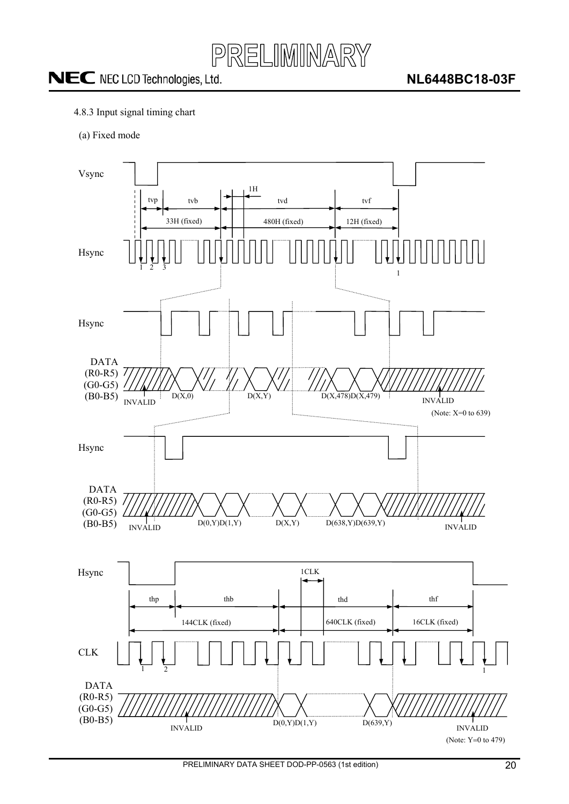

- <span id="page-19-0"></span>4.8.3 Input signal timing chart
- (a) Fixed mode

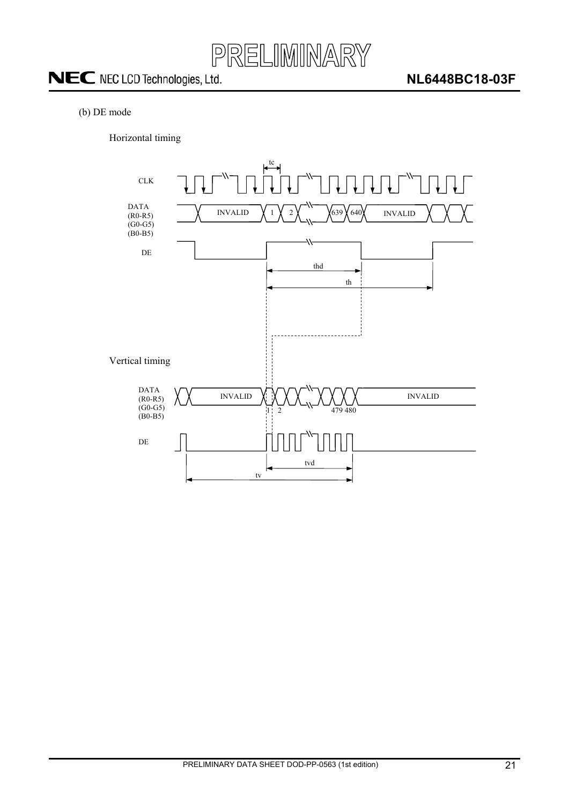![](_page_20_Picture_0.jpeg)

#### (b) DE mode

Horizontal timing

![](_page_20_Figure_5.jpeg)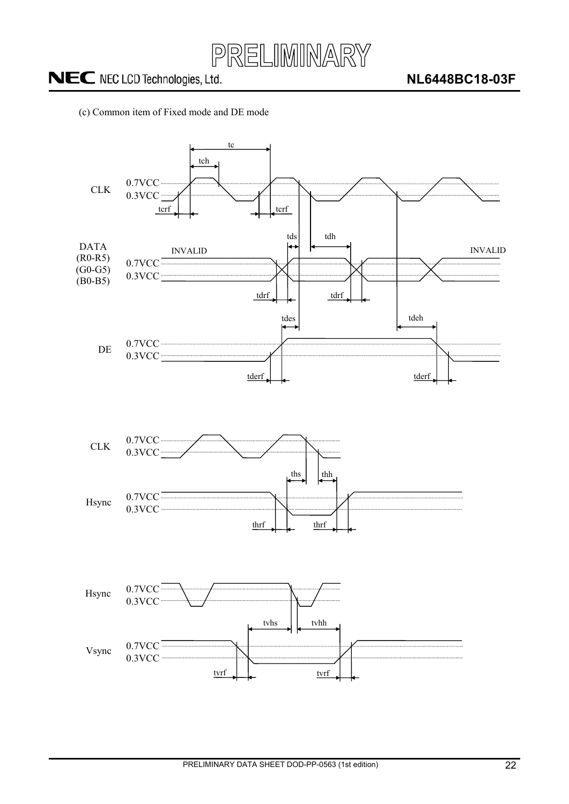![](_page_21_Picture_0.jpeg)

#### (c) Common item of Fixed mode and DE mode

![](_page_21_Figure_4.jpeg)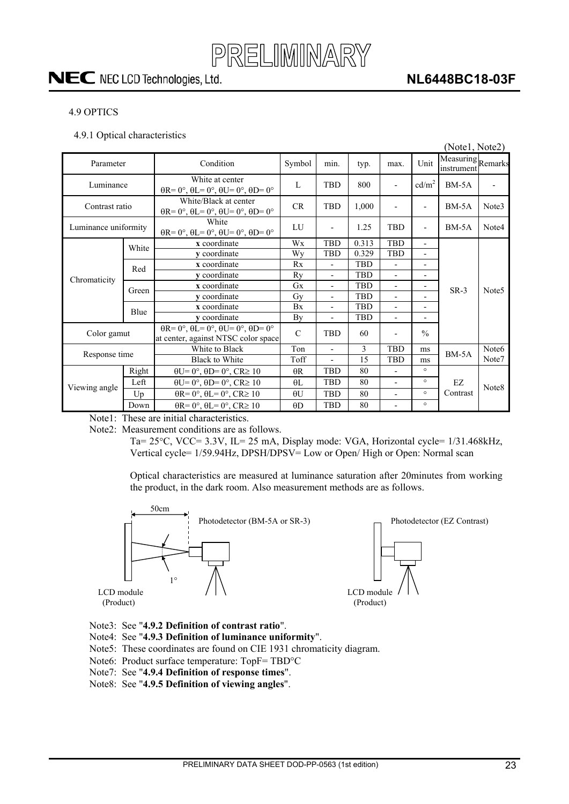![](_page_22_Picture_0.jpeg)

### **NL6448BC18-03F**

#### <span id="page-22-0"></span>4.9 OPTICS

4.9.1 Optical characteristics

|                      |       |                                                                                                       |               |                          |            |                          |                          | (Notel, Note2)                  |                   |
|----------------------|-------|-------------------------------------------------------------------------------------------------------|---------------|--------------------------|------------|--------------------------|--------------------------|---------------------------------|-------------------|
| Parameter            |       | Condition                                                                                             | Symbol        | min.                     | typ.       | max.                     | Unit                     | Measuring Remarks<br>instrument |                   |
| Luminance            |       | White at center<br>$\theta$ R= 0°, $\theta$ L= 0°, $\theta$ U= 0°, $\theta$ D= 0°                     | L             | <b>TBD</b>               | 800        | $\overline{a}$           | cd/m <sup>2</sup>        | $BM-5A$                         |                   |
| Contrast ratio       |       | White/Black at center<br>$\theta$ R= 0°, $\theta$ L= 0°, $\theta$ U= 0°, $\theta$ D= 0°               | CR            | <b>TBD</b>               | 1,000      | $\overline{a}$           | $\overline{\phantom{a}}$ | $BM-5A$                         | Note3             |
| Luminance uniformity |       | White<br>$\theta$ R= 0°, $\theta$ L= 0°, $\theta$ U= 0°, $\theta$ D= 0°                               | LU            | $\overline{\phantom{a}}$ | 1.25       | <b>TBD</b>               | $\overline{\phantom{a}}$ | $BM-5A$                         | Note4             |
|                      | White | x coordinate                                                                                          | Wx            | <b>TBD</b>               | 0.313      | <b>TBD</b>               | $\overline{\phantom{a}}$ |                                 |                   |
|                      |       | y coordinate                                                                                          | Wy            | TBD                      | 0.329      | <b>TBD</b>               | $\blacksquare$           |                                 |                   |
|                      | Red   | x coordinate                                                                                          | Rx            | $\overline{a}$           | <b>TBD</b> | $\overline{a}$           | $\overline{\phantom{a}}$ |                                 |                   |
| Chromaticity         |       | <b>v</b> coordinate                                                                                   | Ry            | $\overline{\phantom{a}}$ | <b>TBD</b> | $\overline{a}$           | $\overline{\phantom{a}}$ |                                 |                   |
|                      | Green | x coordinate                                                                                          | Gx            | $\overline{\phantom{a}}$ | <b>TBD</b> | $\overline{a}$           | $\overline{\phantom{a}}$ | $SR-3$                          | Note <sub>5</sub> |
|                      |       | y coordinate                                                                                          | Gy            | $\overline{\phantom{0}}$ | <b>TBD</b> | $\overline{\phantom{0}}$ | $\overline{\phantom{a}}$ |                                 |                   |
|                      | Blue  | x coordinate                                                                                          | Bx            | $\blacksquare$           | <b>TBD</b> | $\overline{a}$           | $\overline{\phantom{a}}$ |                                 |                   |
|                      |       | y coordinate                                                                                          | By            | $\blacksquare$           | <b>TBD</b> | $\overline{a}$           | $\overline{\phantom{a}}$ |                                 |                   |
| Color gamut          |       | $\theta$ R= 0°, $\theta$ L= 0°, $\theta$ U= 0°, $\theta$ D= 0°<br>at center, against NTSC color space | $\mathcal{C}$ | <b>TBD</b>               | 60         | $\overline{a}$           | $\frac{0}{0}$            |                                 |                   |
| Response time        |       | White to Black                                                                                        | Ton           |                          | 3          | <b>TBD</b>               | ms                       | $BM-5A$                         | Note <sub>6</sub> |
|                      |       | <b>Black to White</b>                                                                                 | Toff          | $\overline{a}$           | 15         | <b>TBD</b>               | ms                       |                                 | Note7             |
|                      | Right | $\theta U = 0^\circ$ , $\theta D = 0^\circ$ , $CR \ge 10$                                             | $\theta$ R    | <b>TBD</b>               | 80         | $\overline{a}$           | $\circ$                  |                                 |                   |
|                      | Left  | $\theta U = 0^\circ$ , $\theta D = 0^\circ$ , $CR \ge 10$                                             | $\theta$ L    | <b>TBD</b>               | 80         | $\overline{a}$           | $\circ$                  | EZ                              |                   |
| Viewing angle        | Up    | $\theta$ R= 0°, $\theta$ L= 0°, CR≥ 10                                                                | $\theta U$    | TBD                      | 80         | $\overline{\phantom{0}}$ | $\circ$                  | Contrast                        | Note8             |
|                      | Down  | $\theta$ R= 0°, $\theta$ L= 0°, CR≥ 10                                                                | $\theta$ D    | TBD                      | 80         | $\overline{\phantom{0}}$ | $\circ$                  |                                 |                   |

Note1: These are initial characteristics.

Note2: Measurement conditions are as follows.

Ta=  $25^{\circ}$ C, VCC=  $3.3V$ , IL=  $25$  mA, Display mode: VGA, Horizontal cycle=  $1/31.468$ kHz, Vertical cycle= 1/59.94Hz, DPSH/DPSV= Low or Open/ High or Open: Normal scan

Optical characteristics are measured at luminance saturation after 20minutes from working the product, in the dark room. Also measurement methods are as follows.

![](_page_22_Figure_10.jpeg)

- Note3: See "**4.9.2 Definition of contrast ratio**".
- Note4: See "**4.9.3 Definition of luminance uniformity**".
- Note5: These coordinates are found on CIE 1931 chromaticity diagram.
- Note6: Product surface temperature: TopF= TBD°C
- Note7: See "**4.9.4 Definition of response times**".
- Note8: See "**4.9.5 Definition of viewing angles**".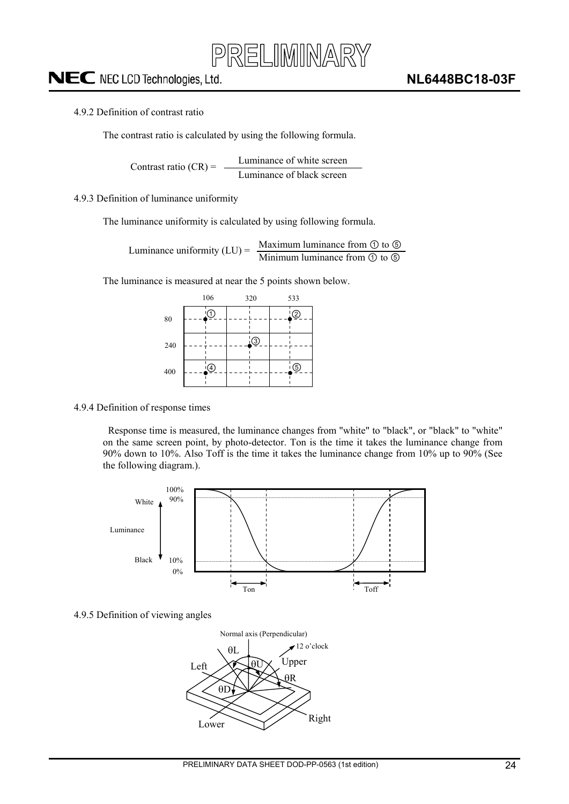![](_page_23_Picture_0.jpeg)

#### <span id="page-23-0"></span>4.9.2 Definition of contrast ratio

The contrast ratio is calculated by using the following formula.

Luminance of white screen Luminance of black screen Contrast ratio  $(CR)$  =

#### 4.9.3 Definition of luminance uniformity

The luminance uniformity is calculated by using following formula.

Maximum luminance from  $\odot$  to  $\odot$ Luminance uniformity  $(LU) = \frac{Maxm and Taxm}{\text{Minimum luminance from } \mathcal{D} \text{ to } \mathcal{D}}$ 

The luminance is measured at near the 5 points shown below.

|     | 106 | 320       | 533 |
|-----|-----|-----------|-----|
| 80  | 1   |           | ②   |
| 240 |     | <u>¦③</u> |     |
| 400 | 4.  |           | ᠖   |
|     |     |           |     |

#### 4.9.4 Definition of response times

Response time is measured, the luminance changes from "white" to "black", or "black" to "white" on the same screen point, by photo-detector. Ton is the time it takes the luminance change from 90% down to 10%. Also Toff is the time it takes the luminance change from 10% up to 90% (See the following diagram.).

![](_page_23_Figure_13.jpeg)

#### 4.9.5 Definition of viewing angles

![](_page_23_Figure_15.jpeg)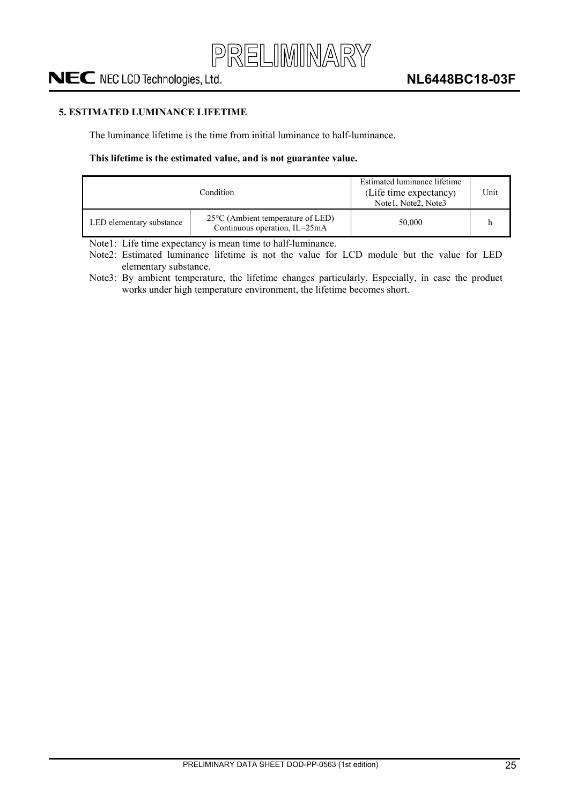![](_page_24_Picture_0.jpeg)

#### <span id="page-24-0"></span>**5. ESTIMATED LUMINANCE LIFETIME**

The luminance lifetime is the time from initial luminance to half-luminance.

#### **This lifetime is the estimated value, and is not guarantee value.**

|                          | Condition                                                                    | Estimated luminance lifetime<br>(Life time expectancy)<br>Note1, Note2, Note3 | Unit |
|--------------------------|------------------------------------------------------------------------------|-------------------------------------------------------------------------------|------|
| LED elementary substance | $25^{\circ}$ C (Ambient temperature of LED)<br>Continuous operation, IL=25mA | 50,000                                                                        |      |

Note1: Life time expectancy is mean time to half-luminance.

Note2: Estimated luminance lifetime is not the value for LCD module but the value for LED elementary substance.

Note3: By ambient temperature, the lifetime changes particularly. Especially, in case the product works under high temperature environment, the lifetime becomes short.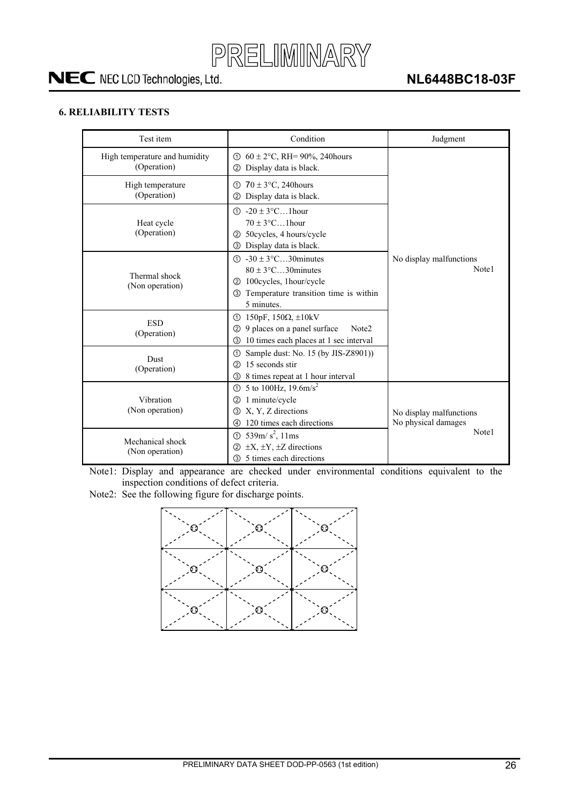![](_page_25_Picture_0.jpeg)

#### <span id="page-25-0"></span>**6. RELIABILITY TESTS**

| Test item                                                                                                                                                                                                          | Condition                                                                                                                                 | Judgment                                                |  |
|--------------------------------------------------------------------------------------------------------------------------------------------------------------------------------------------------------------------|-------------------------------------------------------------------------------------------------------------------------------------------|---------------------------------------------------------|--|
| High temperature and humidity<br>(Operation)                                                                                                                                                                       | $60 \pm 2$ °C, RH= 90%, 240 hours<br>ന<br>Display data is black.<br>(2)                                                                   |                                                         |  |
| High temperature<br>(Operation)                                                                                                                                                                                    | $70 \pm 3$ °C, 240 hours<br>ന<br>Display data is black.<br>(2)                                                                            |                                                         |  |
| Heat cycle<br>(Operation)                                                                                                                                                                                          | $\textcircled{1}$ -20 ± 3°C1hour<br>$70 \pm 3$ °C1 hour<br>50cycles, 4 hours/cycle<br>(2)<br>Display data is black.<br>③                  |                                                         |  |
| $\textcircled{1}$ -30 ± 3 $\textcircled{c}$ 30 minutes<br>$80 \pm 3$ °C30 minutes<br>Thermal shock<br>100cycles, 1hour/cycle<br>(2)<br>(Non operation)<br>Temperature transition time is within<br>3<br>5 minutes. |                                                                                                                                           | No display malfunctions<br>Note1                        |  |
| <b>ESD</b><br>(Operation)                                                                                                                                                                                          | $150pF$ , 150Ω, $\pm 10kV$<br>①<br>9 places on a panel surface<br>(2)<br>Note <sub>2</sub><br>10 times each places at 1 sec interval<br>3 |                                                         |  |
| Dust<br>(Operation)                                                                                                                                                                                                | Sample dust: No. 15 (by JIS-Z8901))<br>ന<br>15 seconds stir<br>(2)<br>8 times repeat at 1 hour interval<br>3                              |                                                         |  |
| Vibration<br>(Non operation)                                                                                                                                                                                       | 5 to 100Hz, $19.6 \text{m/s}^2$<br>ന<br>1 minute/cycle<br>②<br>X, Y, Z directions<br>3<br>120 times each directions<br>4                  | No display malfunctions<br>No physical damages<br>Note1 |  |
| Mechanical shock<br>(Non operation)                                                                                                                                                                                | 539m/ $s^2$ , 11ms<br>b<br>$\pm X$ , $\pm Y$ , $\pm Z$ directions<br>(2)<br>5 times each directions<br>③                                  |                                                         |  |

Note1: Display and appearance are checked under environmental conditions equivalent to the inspection conditions of defect criteria.

Note2: See the following figure for discharge points.

![](_page_25_Figure_7.jpeg)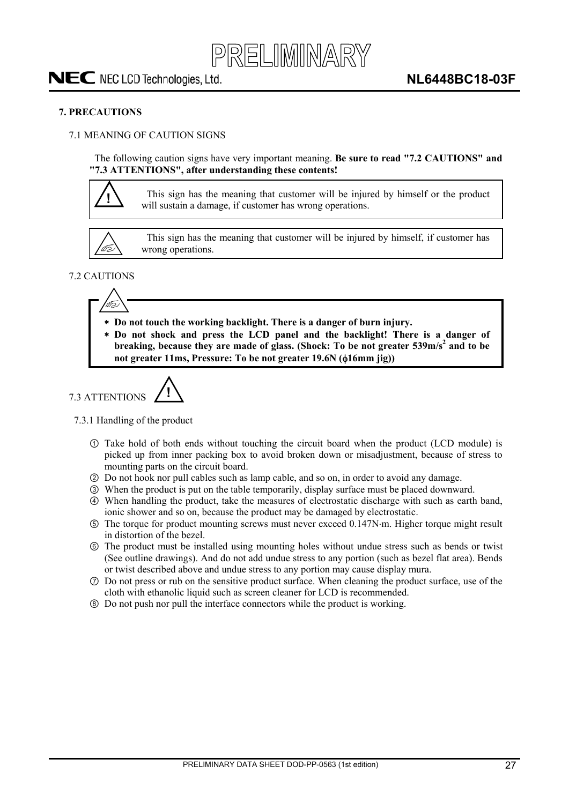![](_page_26_Picture_0.jpeg)

#### <span id="page-26-0"></span>**7. PRECAUTIONS**

#### 7.1 MEANING OF CAUTION SIGNS

The following caution signs have very important meaning. **Be sure to read "7.2 CAUTIONS" and "7.3 ATTENTIONS", after understanding these contents!** 

![](_page_26_Picture_6.jpeg)

**!** This sign has the meaning that customer will be injured by himself or the product will sustain a damage, if customer has wrong operations.

![](_page_26_Picture_8.jpeg)

This sign has the meaning that customer will be injured by himself, if customer has wrong operations.

#### 7.2 CAUTIONS

![](_page_26_Picture_11.jpeg)

- **Do not touch the working backlight. There is a danger of burn injury.**
- **Do not shock and press the LCD panel and the backlight! There is a danger of**  breaking, because they are made of glass. (Shock: To be not greater 539m/s<sup>2</sup> and to be not greater 11ms, Pressure: To be not greater 19.6N ( $\phi$ 16mm jig))

7.3 ATTENTIONS 
$$
\bigwedge
$$

#### 7.3.1 Handling of the product

- Take hold of both ends without touching the circuit board when the product (LCD module) is picked up from inner packing box to avoid broken down or misadjustment, because of stress to mounting parts on the circuit board.
- ཱ Do not hook nor pull cables such as lamp cable, and so on, in order to avoid any damage.
- ི When the product is put on the table temporarily, display surface must be placed downward.
- ཱི When handling the product, take the measures of electrostatic discharge with such as earth band, ionic shower and so on, because the product may be damaged by electrostatic.
- ུ The torque for product mounting screws must never exceed 0.147Nm. Higher torque might result in distortion of the bezel.
- ཱུ The product must be installed using mounting holes without undue stress such as bends or twist (See outline drawings). And do not add undue stress to any portion (such as bezel flat area). Bends or twist described above and undue stress to any portion may cause display mura.
- ྲྀ Do not press or rub on the sensitive product surface. When cleaning the product surface, use of the cloth with ethanolic liquid such as screen cleaner for LCD is recommended.
- ཷ Do not push nor pull the interface connectors while the product is working.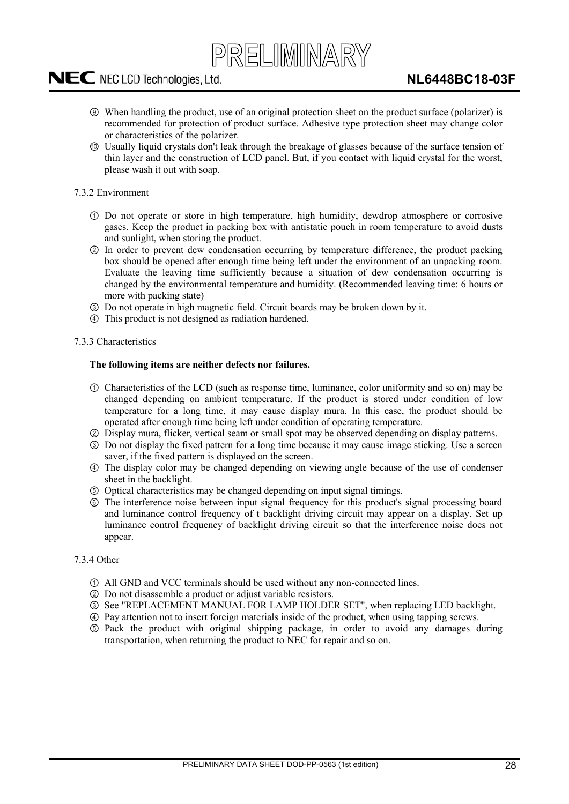![](_page_27_Picture_0.jpeg)

- <span id="page-27-0"></span>ླྀ When handling the product, use of an original protection sheet on the product surface (polarizer) is recommended for protection of product surface. Adhesive type protection sheet may change color or characteristics of the polarizer.
- ཹ Usually liquid crystals don't leak through the breakage of glasses because of the surface tension of thin layer and the construction of LCD panel. But, if you contact with liquid crystal for the worst, please wash it out with soap.

#### 7.3.2 Environment

- Do not operate or store in high temperature, high humidity, dewdrop atmosphere or corrosive gases. Keep the product in packing box with antistatic pouch in room temperature to avoid dusts and sunlight, when storing the product.
- ཱ In order to prevent dew condensation occurring by temperature difference, the product packing box should be opened after enough time being left under the environment of an unpacking room. Evaluate the leaving time sufficiently because a situation of dew condensation occurring is changed by the environmental temperature and humidity. (Recommended leaving time: 6 hours or more with packing state)
- ི Do not operate in high magnetic field. Circuit boards may be broken down by it.
- ཱི This product is not designed as radiation hardened.

#### 7.3.3 Characteristics

#### **The following items are neither defects nor failures.**

- Characteristics of the LCD (such as response time, luminance, color uniformity and so on) may be changed depending on ambient temperature. If the product is stored under condition of low temperature for a long time, it may cause display mura. In this case, the product should be operated after enough time being left under condition of operating temperature.
- ཱ Display mura, flicker, vertical seam or small spot may be observed depending on display patterns.
- ི Do not display the fixed pattern for a long time because it may cause image sticking. Use a screen saver, if the fixed pattern is displayed on the screen.
- ཱི The display color may be changed depending on viewing angle because of the use of condenser sheet in the backlight.
- ུ Optical characteristics may be changed depending on input signal timings.
- ཱུ The interference noise between input signal frequency for this product's signal processing board and luminance control frequency of t backlight driving circuit may appear on a display. Set up luminance control frequency of backlight driving circuit so that the interference noise does not appear.

#### 7.3.4 Other

- All GND and VCC terminals should be used without any non-connected lines.
- ཱ Do not disassemble a product or adjust variable resistors.
- ི See "REPLACEMENT MANUAL FOR LAMP HOLDER SET", when replacing LED backlight.
- ཱི Pay attention not to insert foreign materials inside of the product, when using tapping screws.
- ུ Pack the product with original shipping package, in order to avoid any damages during transportation, when returning the product to NEC for repair and so on.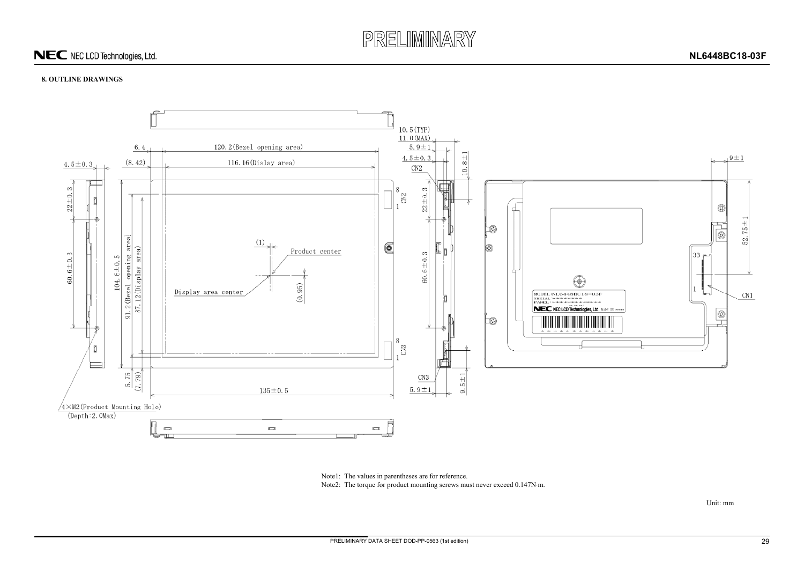![](_page_28_Picture_0.jpeg)

#### **8. OUTLINE DRAWINGS**

![](_page_28_Figure_3.jpeg)

Unit: mm

Note1: The values in parentheses are for reference.

<span id="page-28-0"></span>Note2: The torque for product mounting screws must never exceed 0.147N·m.